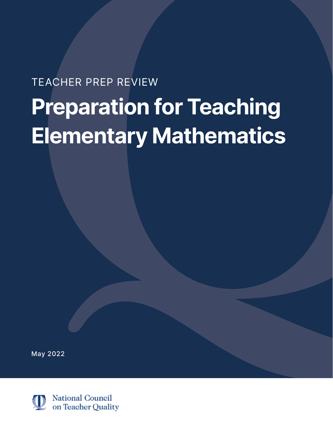# TEACHER PREP REVIEW

# **Preparation for Teaching Elementary Mathematics**

May 2022

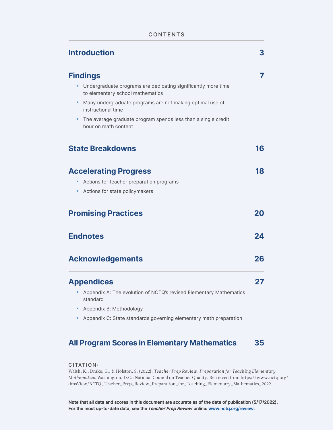#### CONTENTS

| <b>Introduction</b>                      |                                                                    | 3  |
|------------------------------------------|--------------------------------------------------------------------|----|
| <b>Findings</b>                          |                                                                    | 7  |
| to elementary school mathematics         | Undergraduate programs are dedicating significantly more time      |    |
| $\bullet$<br>instructional time          | Many undergraduate programs are not making optimal use of          |    |
| hour on math content                     | The average graduate program spends less than a single credit      |    |
| <b>State Breakdowns</b>                  |                                                                    | 16 |
| <b>Accelerating Progress</b>             |                                                                    | 18 |
| Actions for teacher preparation programs |                                                                    |    |
| Actions for state policymakers           |                                                                    |    |
| <b>Promising Practices</b>               |                                                                    | 20 |
| <b>Endnotes</b>                          |                                                                    | 24 |
| <b>Acknowledgements</b>                  |                                                                    | 26 |
| <b>Appendices</b>                        |                                                                    | 27 |
| standard                                 | Appendix A: The evolution of NCTQ's revised Elementary Mathematics |    |
| Appendix B: Methodology                  |                                                                    |    |
|                                          | Appendix C: State standards governing elementary math preparation  |    |

# **All Program Scores in Elementary Mathematics 35**

#### CITATION:

Walsh, K., Drake, G., & Holston, S. (2022). *Teacher Prep Review: Preparation for Teaching Elementary Mathematics.* Washington, D.C.: National Council on Teacher Quality. Retrieved from https://www.nctq.org/ [dmsView/NCTQ\\_Teacher\\_Prep\\_Review\\_Preparation\\_for\\_Teaching\\_Elementary\\_Mathematics\\_2022.](https://www.nctq.org/dmsView/NCTQ_Teacher_Prep_Review_Preparation_for_Teaching_Elementary_Mathematics_2022)

Note that all data and scores in this document are accurate as of the date of publication (5/17/2022). For the most up-to-date data, see the Teacher Prep Review online[: www.nctq.org/review](ww.nctq.org/review).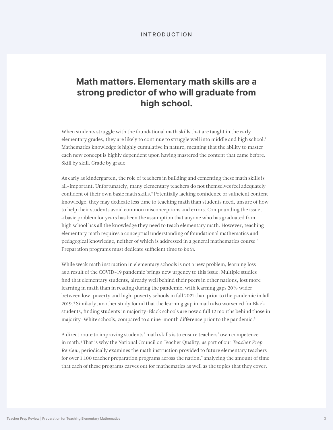#### INTRODUCTION

# **Math matters. Elementary math skills are a strong predictor of who will graduate from high school.**

When students struggle with the foundational math skills that are taught in the early elementary grades, they are likely to continue to struggle well into middle and high school.<sup>1</sup> Mathematics knowledge is highly cumulative in nature, meaning that the ability to master each new concept is highly dependent upon having mastered the content that came before. Skill by skill. Grade by grade.

As early as kindergarten, the role of teachers in building and cementing these math skills is all-important. Unfortunately, many elementary teachers do not themselves feel adequately confident of their own basic math skills.2 Potentially lacking confidence or sufficient content knowledge, they may dedicate less time to teaching math than students need, unsure of how to help their students avoid common misconceptions and errors. Compounding the issue, a basic problem for years has been the assumption that anyone who has graduated from high school has all the knowledge they need to teach elementary math. However, teaching elementary math requires a conceptual understanding of foundational mathematics and pedagogical knowledge, neither of which is addressed in a general mathematics course.<sup>3</sup> Preparation programs must dedicate sufficient time to *both*.

While weak math instruction in elementary schools is not a new problem, learning loss as a result of the COVID-19 pandemic brings new urgency to this issue. Multiple studies find that elementary students, already well behind their peers in other nations, lost more learning in math than in reading during the pandemic, with learning gaps 20% wider between low-poverty and high-poverty schools in fall 2021 than prior to the pandemic in fall 2019.4 Similarly, another study found that the learning gap in math also worsened for Black students, finding students in majority-Black schools are now a full 12 months behind those in majority-White schools, compared to a nine-month difference prior to the pandemic.5

A direct route to improving students' math skills is to ensure teachers' own competence in math.6 That is why the National Council on Teacher Quality, as part of our *Teacher Prep Review*, periodically examines the math instruction provided to future elementary teachers for over 1,100 teacher preparation programs across the nation,<sup>7</sup> analyzing the amount of time that each of these programs carves out for mathematics as well as the topics that they cover.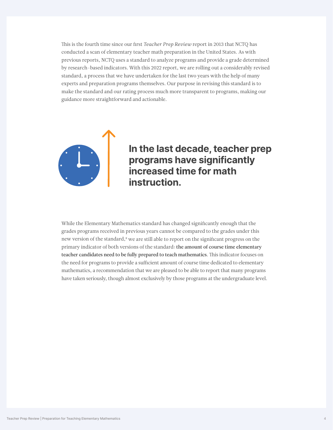This is the fourth time since our first *Teacher Prep Review* report in 2013 that NCTQ has conducted a scan of elementary teacher math preparation in the United States. As with previous reports, NCTQ uses a standard to analyze programs and provide a grade determined by research-based indicators. With this 2022 report, we are rolling out a considerably revised standard, a process that we have undertaken for the last two years with the help of many experts and preparation programs themselves. Our purpose in revising this standard is to make the standard and our rating process much more transparent to programs, making our guidance more straightforward and actionable.



# In the last decade, teacher programs have significantly<br>increased time for math In the last decade, teacher prep instruction.

While the Elementary Mathematics standard has changed significantly enough that the grades programs received in previous years cannot be compared to the grades under this new version of the standard,<sup>8</sup> we are still able to report on the significant progress on the primary indicator of both versions of the standard: the amount of course time elementary teacher candidates need to be fully prepared to teach mathematics. This indicator focuses on the need for programs to provide a sufficient amount of course time dedicated to elementary mathematics, a recommendation that we are pleased to be able to report that many programs have taken seriously, though almost exclusively by those programs at the undergraduate level.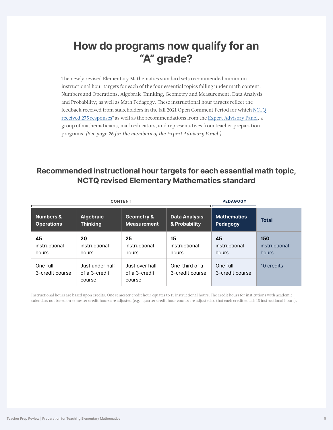# **How do programs now qualify for an "A" grade?**

The newly revised Elementary Mathematics standard sets recommended minimum instructional hour targets for each of the four essential topics falling under math content: Numbers and Operations, Algebraic Thinking, Geometry and Measurement, Data Analysis and Probability; as well as Math Pedagogy. These instructional hour targets reflect the feedback received from stakeholders in the fall 2021 Open Comment Period for which [NCTQ](https://www.nctq.org/pages/TPR-Standards-Revision-Math#Section2)  [received 275 responses](https://www.nctq.org/pages/TPR-Standards-Revision-Math#Section2)<sup>9</sup> as well as the recommendations from the [Expert Advisory Panel,](https://www.nctq.org/pages/TPR-Standards-Revision-Math#Section4) a group of mathematicians, math educators, and representatives from teacher preparation programs. *(See page 26 for the members of the Expert Advisory Panel.)*

### **Recommended instructional hour targets for each essential math topic, NCTQ revised Elementary Mathematics standard**

|                             | <b>CONTENT</b>                             | <b>PEDAGOGY</b>                           |                                   |                             |               |
|-----------------------------|--------------------------------------------|-------------------------------------------|-----------------------------------|-----------------------------|---------------|
| <b>Numbers &amp;</b>        | <b>Algebraic</b>                           | <b>Geometry &amp;</b>                     | <b>Data Analysis</b>              | <b>Mathematics</b>          | <b>Total</b>  |
| <b>Operations</b>           | <b>Thinking</b>                            | <b>Measurement</b>                        | & Probability                     | Pedagogy                    |               |
| 45                          | 20                                         | 25                                        | 15                                | 45                          | 150           |
| instructional               | instructional                              | instructional                             | instructional                     | instructional               | instructional |
| hours                       | hours                                      | hours                                     | hours                             | hours                       | hours         |
| One full<br>3-credit course | Just under half<br>of a 3-credit<br>course | Just over half<br>of a 3-credit<br>course | One-third of a<br>3-credit course | One full<br>3-credit course | 10 credits    |

Instructional hours are based upon credits. One semester credit hour equates to 15 instructional hours. The credit hours for institutions with academic calendars not based on semester credit hours are adjusted (e.g., quarter credit hour counts are adjusted so that each credit equals 15 instructional hours).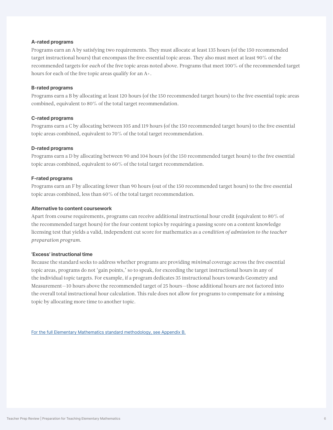#### **A-rated programs**

Programs earn an A by satisfying two requirements. They must allocate at least 135 hours (of the 150 recommended target instructional hours) that encompass the five essential topic areas. They also must meet at least 90% of the recommended targets for *each* of the five topic areas noted above. Programs that meet 100% of the recommended target hours for each of the five topic areas qualify for an A+.

#### **B-rated programs**

Programs earn a B by allocating at least 120 hours (of the 150 recommended target hours) to the five essential topic areas combined, equivalent to 80% of the total target recommendation.

#### **C-rated programs**

Programs earn a C by allocating between 105 and 119 hours (of the 150 recommended target hours) to the five essential topic areas combined, equivalent to 70% of the total target recommendation.

#### **D-rated programs**

Programs earn a D by allocating between 90 and 104 hours (of the 150 recommended target hours) to the five essential topic areas combined, equivalent to 60% of the total target recommendation.

#### **F-rated programs**

Programs earn an F by allocating fewer than 90 hours (out of the 150 recommended target hours) to the five essential topic areas combined, less than 60% of the total target recommendation.

#### **Alternative to content coursework**

Apart from course requirements, programs can receive additional instructional hour credit (equivalent to 80% of the recommended target hours) for the four content topics by requiring a passing score on a content knowledge licensing test that yields a valid, independent cut score for mathematics as a *condition of admission to the teacher preparation program.*

#### **'Excess' instructional time**

Because the standard seeks to address whether programs are providing *minimal* coverage across the five essential topic areas, programs do not 'gain points,' so to speak, for exceeding the target instructional hours in any of the individual topic targets. For example, if a program dedicates 35 instructional hours towards Geometry and Measurement—10 hours above the recommended target of 25 hours—those additional hours are not factored into the overall total instructional hour calculation. This rule does not allow for programs to compensate for a missing topic by allocating more time to another topic.

[For the full Elementary Mathematics standard methodology, see Appendix B.](#page-29-0)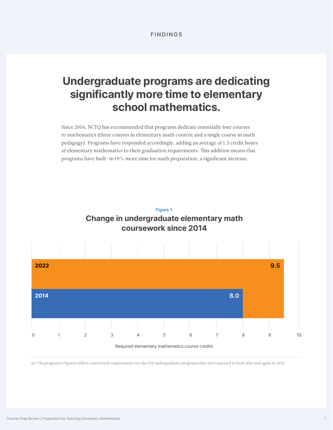# **Undergraduate programs are dedicating significantly more time to elementary school mathematics.**

Since 2014, NCTQ has recommended that programs dedicate essentially four courses to mathematics (three courses in elementary math content and a single course in math pedagogy). Programs have responded accordingly, adding an average of 1.5 credit hours of elementary mathematics to their graduation requirements. This addition means that programs have built-in 19% more time for math preparation, a significant increase.





(n=738 programs) Figures reflect coursework requirements for the 738 undergraduate programs that were assessed in both 2014 and again in 2022.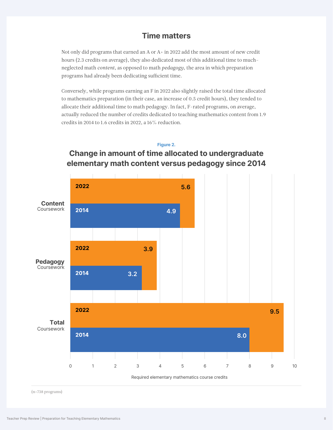### **Time matters**

Not only did programs that earned an A or A+ in 2022 add the most amount of new credit hours (2.3 credits on average), they also dedicated most of this additional time to muchneglected math *content*, as opposed to math *pedagogy,* the area in which preparation programs had already been dedicating sufficient time.

Conversely, while programs earning an F in 2022 also slightly raised the total time allocated to mathematics preparation (in their case, an increase of 0.5 credit hours), they tended to allocate their additional time to math pedagogy. In fact, F-rated programs, on average, actually reduced the number of credits dedicated to teaching mathematics content from 1.9 credits in 2014 to 1.6 credits in 2022, a 16% reduction.

#### **Figure 2.**



### **Change in amount of time allocated to undergraduate elementary math content versus pedagogy since 2014**

(n=738 programs)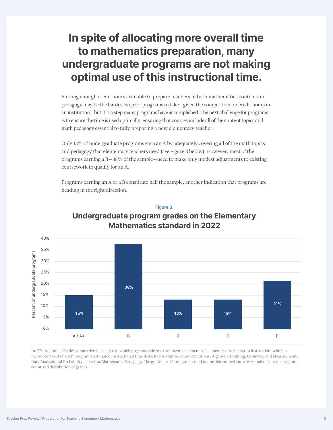# **In spite of allocating more overall time to mathematics preparation, many undergraduate programs are not making optimal use of this instructional time.**

Finding enough credit hours available to prepare teachers in both mathematics content and pedagogy may be the hardest step for programs to take—given the competition for credit hours in an institution—but it is a step many programs have accomplished. The next challenge for programs is to ensure the time is used optimally, ensuring that courses include all of the content topics and math pedagogy essential to fully preparing a new elementary teacher.

Only 15% of undergraduate programs earn an A by adequately covering all of the math topics and pedagogy that elementary teachers need (see Figure 3 below). However, most of the programs earning a  $B-38%$  of the sample—need to make only modest adjustments to existing coursework to qualify for an A.

Programs earning an A or a B constitute half the sample, another indication that programs are heading in the right direction.



### **Undergraduate program grades on the Elementary Mathematics standard in 2022**

**Figure 3.** 

(n=771 programs) Grades summarize the degree to which programs address the essential elements of elementary mathematics instruction, which is measured based on each program's estimated instructional time dedicated to Numbers and Operations, Algebraic Thinking, Geometry and Measurement, Data Analysis and Probability, as well as Mathematics Pedagogy. The grades for 40 programs could not be determined and are excluded from the program count and distribution of grades.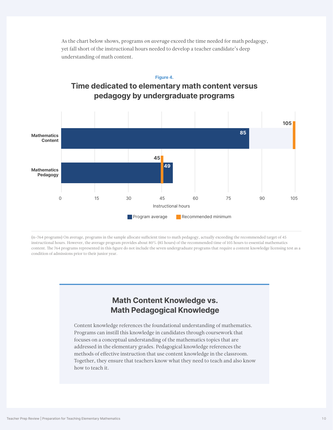

As the chart below shows, programs *on average* exceed the time needed for math pedagogy, yet fall short of the instructional hours needed to develop a teacher candidate's deep understanding of math content.

(n=764 programs) On average, programs in the sample allocate sufficient time to math pedagogy, actually exceeding the recommended target of 45 instructional hours. However, the average program provides about 80% (85 hours) of the recommended time of 105 hours to essential mathematics content. The 764 programs represented in this figure do not include the seven undergraduate programs that require a content knowledge licensing test as a condition of admissions prior to their junior year.

# **Math Content Knowledge vs. Math Pedagogical Knowledge**

Content knowledge references the foundational understanding of mathematics. Programs can instill this knowledge in candidates through coursework that focuses on a conceptual understanding of the mathematics topics that are addressed in the elementary grades. Pedagogical knowledge references the methods of effective instruction that use content knowledge in the classroom. Together, they ensure that teachers know what they need to teach and also know how to teach it.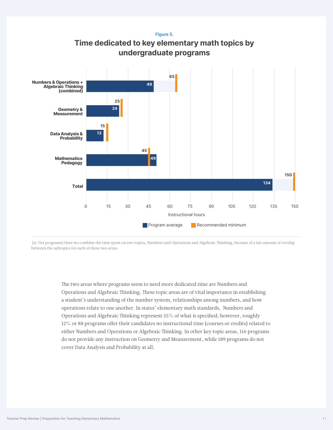**Figure 5.** 





 (n=764 programs) Here we combine the time spent on two topics, Numbers and Operations and Algebraic Thinking, because of a fair amount of overlap between the subtopics for each of these two areas.

> The two areas where programs seem to need more dedicated time are Numbers and Operations and Algebraic Thinking. These topic areas are of vital importance in establishing a student's understanding of the number system, relationships among numbers, and how operations relate to one another. In states' elementary math standards, Numbers and Operations and Algebraic Thinking represent 55% of what is specified; however, roughly 12% or 88 programs offer their candidates no instructional time (courses or credits) related to either Numbers and Operations or Algebraic Thinking. In other key topic areas, 116 programs do not provide any instruction on Geometry and Measurement, while 189 programs do not cover Data Analysis and Probability at all.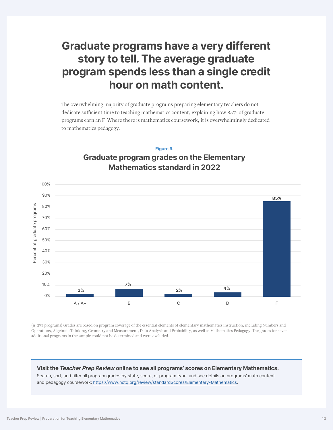# **Graduate programs have a very different story to tell. The average graduate program spends less than a single credit hour on math content.**

The overwhelming majority of graduate programs preparing elementary teachers do not dedicate sufficient time to teaching mathematics content, explaining how 85% of graduate programs earn an F. Where there is mathematics coursework, it is overwhelmingly dedicated to mathematics pedagogy.

# 40% 50% 60% 70% 80% 90% 100% 30% 20% **85%**

### **Figure 6. Graduate program grades on the Elementary Mathematics standard in 2022**

(n=293 programs) Grades are based on program coverage of the essential elements of elementary mathematics instruction, including Numbers and Operations, Algebraic Thinking, Geometry and Measurement, Data Analysis and Probability, as well as Mathematics Pedagogy. The grades for seven additional programs in the sample could not be determined and were excluded.

**2% 2% 7%**

A / A+ B C D F

**4%**

#### **Visit theTeacher Prep Review online to see all programs' scores on Elementary Mathematics.**

Search, sort, and filter all program grades by state, score, or program type, and see details on programs' math content and pedagogy coursework: [https://www.nctq.org/review/standardScores/Elementary-Mathematics.](https://www.nctq.org/review/standardScores/Elementary-Mathematics)

10%

Percent of graduate programs

Percent of graduate programs

0%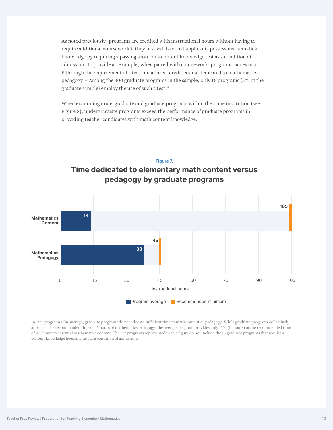As noted previously, programs are credited with instructional hours without having to require additional coursework if they first validate that applicants possess mathematical knowledge by requiring a passing score on a content knowledge test as a condition of admission. To provide an example, when paired with coursework, programs can earn a B through the requirement of a test and a three-credit course dedicated to mathematics pedagogy.10 Among the 300 graduate programs in the sample, only 16 programs (5% of the graduate sample) employ the use of such a test.<sup>11</sup>

When examining undergraduate and graduate programs within the same institution (see Figure 8), undergraduate programs exceed the performance of graduate programs in providing teacher candidates with math content knowledge.

#### **Figure 7.**

**Time dedicated to elementary math content versus pedagogy by graduate programs**



(n=277 programs) On average, graduate programs do not allocate sufficient time to math content or pedagogy. While graduate programs collectively approach the recommended time of 45 hours of mathematics pedagogy, the average program provides only 13% (14 hours) of the recommended time of 105 hours to essential mathematics content. The 277 programs represented in this figure do not include the 16 graduate programs that require a content knowledge licensing test as a condition of admissions.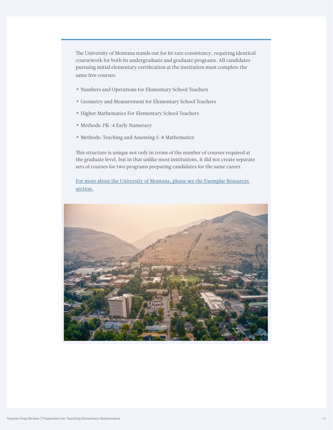The University of Montana stands out for its rare consistency, requiring identical coursework for both its undergraduate and graduate programs. All candidates pursuing initial elementary certification at the institution must complete the same five courses:

- Numbers and Operations for Elementary School Teachers
- Geometry and Measurement for Elementary School Teachers
- Higher Mathematics For Elementary School Teachers
- Methods: PK-4 Early Numeracy
- Methods: Teaching and Assessing 5-8 Mathematics

This structure is unique not only in terms of the number of courses required at the graduate level, but in that unlike most institutions, it did not create separate sets of courses for two programs preparing candidates for the same career.

[For more about the University of Montana, please see the Exemplar Resources](#page-19-0)  [section.](#page-19-0)

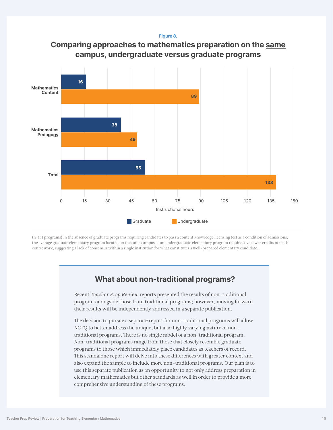**Figure 8.**





(n=151 programs) In the absence of graduate programs requiring candidates to pass a content knowledge licensing test as a condition of admissions, the average graduate elementary program located on the same campus as an undergraduate elementary program requires five fewer credits of math coursework, suggesting a lack of consensus within a single institution for what constitutes a well-prepared elementary candidate.

### **What about non-traditional programs?**

Recent *Teacher Prep Review* reports presented the results of non-traditional programs alongside those from traditional programs; however, moving forward their results will be independently addressed in a separate publication.

The decision to pursue a separate report for non-traditional programs will allow NCTQ to better address the unique, but also highly varying nature of nontraditional programs. There is no single model of a non-traditional program. Non-traditional programs range from those that closely resemble graduate programs to those which immediately place candidates as teachers of record. This standalone report will delve into these differences with greater context and also expand the sample to include more non-traditional programs. Our plan is to use this separate publication as an opportunity to not only address preparation in elementary mathematics but other standards as well in order to provide a more comprehensive understanding of these programs.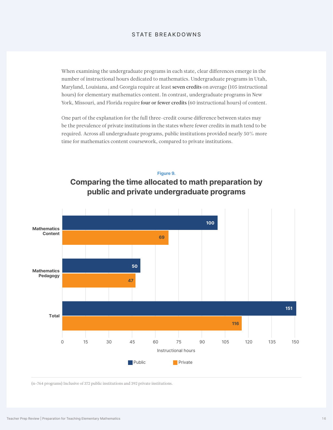#### STATE BREAKDOWNS

When examining the undergraduate programs in each state, clear differences emerge in the number of instructional hours dedicated to mathematics. Undergraduate programs in Utah, Maryland, Louisiana, and Georgia require at least seven credits on average (105 instructional hours) for elementary mathematics content. In contrast, undergraduate programs in New York, Missouri, and Florida require four or fewer credits (60 instructional hours) of content.

One part of the explanation for the full three-credit course difference between states may be the prevalence of private institutions in the states where fewer credits in math tend to be required. Across all undergraduate programs, public institutions provided nearly 50% more time for mathematics content coursework, compared to private institutions.

#### **Figure 9.**





(n=764 programs) Inclusive of 372 public institutions and 392 private institutions.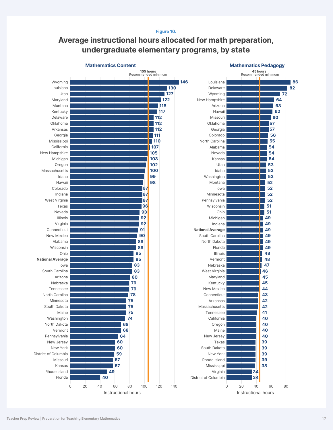#### **Figure 10.**

# **Average instructional hours allocated for math preparation, undergraduate elementary programs, by state**

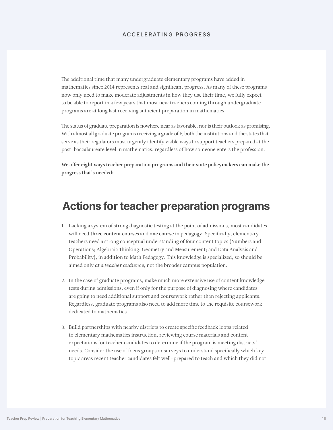#### ACCELERATING PROGRESS

The additional time that many undergraduate elementary programs have added in mathematics since 2014 represents real and significant progress. As many of these programs now only need to make moderate adjustments in how they use their time, we fully expect to be able to report in a few years that most new teachers coming through undergraduate programs are at long last receiving sufficient preparation in mathematics.

The status of graduate preparation is nowhere near as favorable, nor is their outlook as promising. With almost all graduate programs receiving a grade of F, both the institutions and the states that serve as their regulators must urgently identify viable ways to support teachers prepared at the post-baccalaureate level in mathematics, regardless of how someone enters the profession.

We offer eight ways teacher preparation programs and their state policymakers can make the progress that's needed:

# **Actions for teacher preparation programs**

- 1. Lacking a system of strong diagnostic testing at the point of admissions, most candidates will need three content courses and one course in pedagogy. Specifically, elementary teachers need a strong conceptual understanding of four content topics (Numbers and Operations; Algebraic Thinking; Geometry and Measurement; and Data Analysis and Probability), in addition to Math Pedagogy. This knowledge is specialized, so should be aimed only *at a teacher audience*, not the broader campus population.
- 2. In the case of graduate programs, make much more extensive use of content knowledge tests during admissions, even if only for the purpose of diagnosing where candidates are going to need additional support and coursework rather than rejecting applicants. Regardless, graduate programs also need to add more time to the requisite coursework dedicated to mathematics.
- 3. Build partnerships with nearby districts to create specific feedback loops related to elementary mathematics instruction, reviewing course materials and content expectations for teacher candidates to determine if the program is meeting districts' needs. Consider the use of focus groups or surveys to understand specifically which key topic areas recent teacher candidates felt well-prepared to teach and which they did not.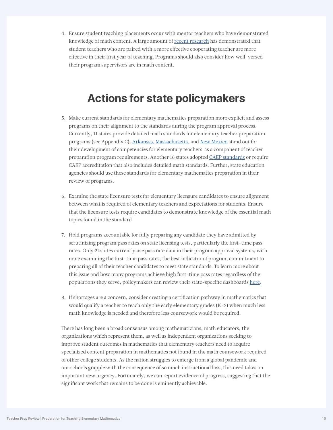4. Ensure student teaching placements occur with mentor teachers who have demonstrated knowledge of math content. A large amount of [recent research](https://www.nctq.org/blog/Six-steps-to-use-student-teachers-to-solve-staffing-challenges) has demonstrated that student teachers who are paired with a more effective cooperating teacher are more effective in their first year of teaching. Programs should also consider how well-versed their program supervisors are in math content.

# **Actions for state policymakers**

- 5. Make current standards for elementary mathematics preparation more explicit and assess programs on their alignment to the standards during the program approval process. Currently, 11 states provide detailed math standards for elementary teacher preparation programs (see Appendix C). [Arkansas,](https://dese.ade.arkansas.gov/Files/20201105154334_K-6_All_Competencies_6-15-18.pdf) [Massachusetts](https://www.doe.mass.edu/edprep/domains/instruction/smk-guidelines.docx), and [New Mexico](https://casetext.com/regulation/new-mexico-administrative-code/title-6-primary-and-secondary-education/chapter-64-school-personnel-competencies-for-licensure/part-4-competencies-for-entry-level-mathematics-teachers/section-66449-competencies-for-entry-level-mathematics-teachers) stand out for their development of competencies for elementary teachers as a component of teacher preparation program requirements. Another 16 states adopted [CAEP standards](https://caepnet.org/~/media/Files/caep/standards/2018-caep-k-6-elementary-teacher-prepara.pdf?la=en) or require CAEP accreditation that also includes detailed math standards. Further, state education agencies should use these standards for elementary mathematics preparation in their review of programs.
- 6. Examine the state licensure tests for elementary licensure candidates to ensure alignment between what is required of elementary teachers and expectations for students. Ensure that the licensure tests require candidates to demonstrate knowledge of the essential math topics found in the standard.
- 7. Hold programs accountable for fully preparing any candidate they have admitted by scrutinizing program pass rates on state licensing tests, particularly the first-time pass rates. Only 21 states currently use pass rate data in their program approval systems, with none examining the first-time pass rates, the best indicator of program commitment to preparing all of their teacher candidates to meet state standards. To learn more about this issue and how many programs achieve high first-time pass rates regardless of the populations they serve, policymakers can review their state-specific dashboards [here.](https://www.nctq.org/publications/Driven-by-Data:-Using-Licensure-Tests-to-Build-a-Strong,-Diverse-Teacher-Workforce)
- 8. If shortages are a concern, consider creating a certification pathway in mathematics that would qualify a teacher to teach only the early elementary grades  $(K-2)$  when much less math knowledge is needed and therefore less coursework would be required.

There has long been a broad consensus among mathematicians, math educators, the organizations which represent them, as well as independent organizations seeking to improve student outcomes in mathematics that elementary teachers need to acquire specialized content preparation in mathematics not found in the math coursework required of other college students. As the nation struggles to emerge from a global pandemic and our schools grapple with the consequence of so much instructional loss, this need takes on important new urgency. Fortunately, we can report evidence of progress, suggesting that the significant work that remains to be done is eminently achievable.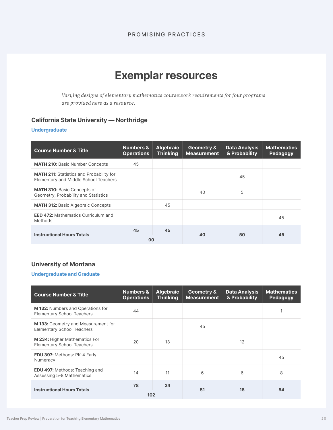#### PROMISING PRACTICES

# **Exemplar resources**

<span id="page-19-0"></span>*Varying designs of elementary mathematics coursework requirements for four programs are provided here as a resource.*

### **California State University — Northridge**

#### **Undergraduate**

| <b>Course Number &amp; Title</b>                                                         | <b>Numbers &amp;</b><br><b>Operations</b> | <b>Algebraic</b><br><b>Thinking</b> | <b>Geometry &amp;</b><br><b>Measurement</b> | <b>Data Analysis</b><br>& Probability | <b>Mathematics</b><br>Pedagogy |
|------------------------------------------------------------------------------------------|-------------------------------------------|-------------------------------------|---------------------------------------------|---------------------------------------|--------------------------------|
| <b>MATH 210: Basic Number Concepts</b>                                                   | 45                                        |                                     |                                             |                                       |                                |
| <b>MATH 211:</b> Statistics and Probability for<br>Elementary and Middle School Teachers |                                           |                                     |                                             | 45                                    |                                |
| <b>MATH 310: Basic Concepts of</b><br>Geometry, Probability and Statistics               |                                           |                                     | 40                                          | 5                                     |                                |
| <b>MATH 312: Basic Algebraic Concepts</b>                                                |                                           | 45                                  |                                             |                                       |                                |
| <b>EED 472: Mathematics Curriculum and</b><br><b>Methods</b>                             |                                           |                                     |                                             |                                       | 45                             |
| <b>Instructional Hours Totals</b>                                                        | 45                                        | 45                                  | 40                                          | 50                                    | 45                             |
|                                                                                          | 90                                        |                                     |                                             |                                       |                                |

### **University of Montana**

#### **Undergraduate and Graduate**

| <b>Course Number &amp; Title</b>                                               | <b>Numbers &amp;</b><br><b>Operations</b> | <b>Algebraic</b><br><b>Thinking</b> | <b>Geometry &amp;</b><br><b>Measurement</b> | <b>Data Analysis</b><br>& Probability | <b>Mathematics</b><br>Pedagogy |
|--------------------------------------------------------------------------------|-------------------------------------------|-------------------------------------|---------------------------------------------|---------------------------------------|--------------------------------|
| <b>M 132: Numbers and Operations for</b><br><b>Elementary School Teachers</b>  | 44                                        |                                     |                                             |                                       |                                |
| <b>M133:</b> Geometry and Measurement for<br><b>Elementary School Teachers</b> |                                           |                                     | 45                                          |                                       |                                |
| M 234: Higher Mathematics For<br><b>Elementary School Teachers</b>             | 20                                        | 13                                  |                                             | 12                                    |                                |
| <b>EDU 397: Methods: PK-4 Early</b><br>Numeracy                                |                                           |                                     |                                             |                                       | 45                             |
| <b>EDU 497: Methods: Teaching and</b><br>Assessing 5-8 Mathematics             | 14                                        | 11                                  | 6                                           | 6                                     | 8                              |
| <b>Instructional Hours Totals</b>                                              | 78                                        | 24                                  | 51                                          | 18                                    | 54                             |
|                                                                                | 102                                       |                                     |                                             |                                       |                                |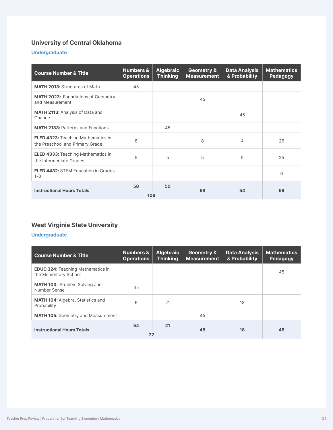### **University of Central Oklahoma**

### **Undergraduate**

| <b>Course Number &amp; Title</b>                                             | <b>Numbers &amp;</b><br><b>Operations</b> | <b>Algebraic</b><br><b>Thinking</b> | <b>Geometry &amp;</b><br><b>Measurement</b> | <b>Data Analysis</b><br>& Probability | <b>Mathematics</b><br>Pedagogy |
|------------------------------------------------------------------------------|-------------------------------------------|-------------------------------------|---------------------------------------------|---------------------------------------|--------------------------------|
| <b>MATH 2013: Structures of Math</b>                                         | 45                                        |                                     |                                             |                                       |                                |
| <b>MATH 2023: Foundations of Geometry</b><br>and Measurement                 |                                           |                                     | 45                                          |                                       |                                |
| <b>MATH 2113: Analysis of Data and</b><br>Chance                             |                                           |                                     |                                             | 45                                    |                                |
| <b>MATH 2133: Patterns and Functions</b>                                     |                                           | 45                                  |                                             |                                       |                                |
| <b>ELED 4323: Teaching Mathematics in</b><br>the Preschool and Primary Grade | 8                                         |                                     | 8                                           | 4                                     | 26                             |
| <b>ELED 4333: Teaching Mathematics in</b><br>the Intermediate Grades         | 5                                         | 5                                   | 5                                           | 5                                     | 25                             |
| <b>ELED 4432: STEM Education in Grades</b><br>$1 - 8$                        |                                           |                                     |                                             |                                       | 8                              |
| <b>Instructional Hours Totals</b>                                            | 58                                        | 50                                  | 58                                          | 54                                    | 59                             |
|                                                                              | 108                                       |                                     |                                             |                                       |                                |

### **West Virginia State University**

### **Undergraduate**

| <b>Course Number &amp; Title</b>                                  | <b>Numbers &amp;</b><br><b>Operations</b> | <b>Algebraic</b><br><b>Thinking</b> | <b>Geometry &amp;</b><br><b>Measurement</b> | <b>Data Analysis</b><br>& Probability | <b>Mathematics</b><br>Pedagogy |
|-------------------------------------------------------------------|-------------------------------------------|-------------------------------------|---------------------------------------------|---------------------------------------|--------------------------------|
| <b>EDUC 324: Teaching Mathematics in</b><br>the Elementary School |                                           |                                     |                                             |                                       | 45                             |
| <b>MATH 103: Problem Solving and</b><br>Number Sense              | 45                                        |                                     |                                             |                                       |                                |
| <b>MATH 104: Algebra, Statistics and</b><br>Probability           | 6                                         | 21                                  |                                             | 18                                    |                                |
| <b>MATH 105: Geometry and Measurement</b>                         |                                           |                                     | 45                                          |                                       |                                |
| <b>Instructional Hours Totals</b>                                 | 54                                        | 21                                  | 45                                          | 18                                    | 45                             |
|                                                                   | 72                                        |                                     |                                             |                                       |                                |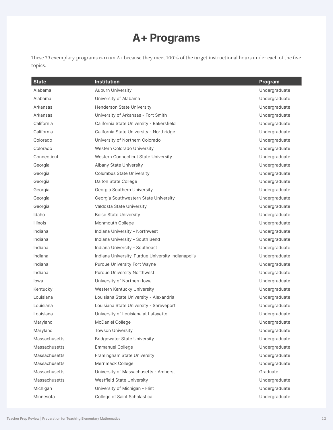# **A+ Programs**

These 79 exemplary programs earn an A+ because they meet 100% of the target instructional hours under each of the five topics.

| <b>State</b>         | <b>Institution</b>                                | <b>Program</b> |
|----------------------|---------------------------------------------------|----------------|
| Alabama              | Auburn University                                 | Undergraduate  |
| Alabama              | University of Alabama                             | Undergraduate  |
| Arkansas             | <b>Henderson State University</b>                 | Undergraduate  |
| Arkansas             | University of Arkansas - Fort Smith               | Undergraduate  |
| California           | California State University - Bakersfield         | Undergraduate  |
| California           | California State University - Northridge          | Undergraduate  |
| Colorado             | University of Northern Colorado                   | Undergraduate  |
| Colorado             | Western Colorado University                       | Undergraduate  |
| Connecticut          | Western Connecticut State University              | Undergraduate  |
| Georgia              | Albany State University                           | Undergraduate  |
| Georgia              | <b>Columbus State University</b>                  | Undergraduate  |
| Georgia              | Dalton State College                              | Undergraduate  |
| Georgia              | Georgia Southern University                       | Undergraduate  |
| Georgia              | Georgia Southwestern State University             | Undergraduate  |
| Georgia              | Valdosta State University                         | Undergraduate  |
| Idaho                | <b>Boise State University</b>                     | Undergraduate  |
| Illinois             | Monmouth College                                  | Undergraduate  |
| Indiana              | Indiana University - Northwest                    | Undergraduate  |
| Indiana              | Indiana University - South Bend                   | Undergraduate  |
| Indiana              | Indiana University - Southeast                    | Undergraduate  |
| Indiana              | Indiana University-Purdue University Indianapolis | Undergraduate  |
| Indiana              | Purdue University Fort Wayne                      | Undergraduate  |
| Indiana              | <b>Purdue University Northwest</b>                | Undergraduate  |
| lowa                 | University of Northern Iowa                       | Undergraduate  |
| Kentucky             | Western Kentucky University                       | Undergraduate  |
| Louisiana            | Louisiana State University - Alexandria           | Undergraduate  |
| Louisiana            | Louisiana State University - Shreveport           | Undergraduate  |
| Louisiana            | University of Louisiana at Lafayette              | Undergraduate  |
| Maryland             | McDaniel College                                  | Undergraduate  |
| Maryland             | <b>Towson University</b>                          | Undergraduate  |
| <b>Massachusetts</b> | <b>Bridgewater State University</b>               | Undergraduate  |
| <b>Massachusetts</b> | <b>Emmanuel College</b>                           | Undergraduate  |
| <b>Massachusetts</b> | Framingham State University                       | Undergraduate  |
| <b>Massachusetts</b> | Merrimack College                                 | Undergraduate  |
| <b>Massachusetts</b> | University of Massachusetts - Amherst             | Graduate       |
| <b>Massachusetts</b> | Westfield State University                        | Undergraduate  |
| Michigan             | University of Michigan - Flint                    | Undergraduate  |
| Minnesota            | College of Saint Scholastica                      | Undergraduate  |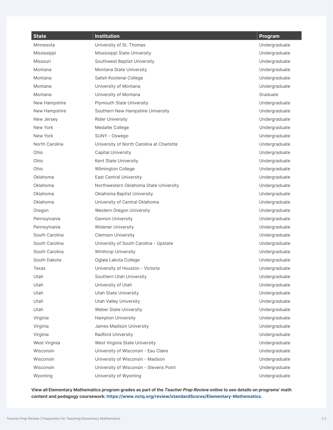| <b>State</b>   | <b>Institution</b>                        | <b>Program</b> |
|----------------|-------------------------------------------|----------------|
| Minnesota      | University of St. Thomas                  | Undergraduate  |
| Mississippi    | Mississippi State University              | Undergraduate  |
| Missouri       | Southwest Baptist University              | Undergraduate  |
| Montana        | Montana State University                  | Undergraduate  |
| Montana        | Salish Kootenai College                   | Undergraduate  |
| Montana        | University of Montana                     | Undergraduate  |
| Montana        | University of Montana                     | Graduate       |
| New Hampshire  | <b>Plymouth State University</b>          | Undergraduate  |
| New Hampshire  | Southern New Hampshire University         | Undergraduate  |
| New Jersey     | <b>Rider University</b>                   | Undergraduate  |
| New York       | Medaille College                          | Undergraduate  |
| New York       | SUNY - Oswego                             | Undergraduate  |
| North Carolina | University of North Carolina at Charlotte | Undergraduate  |
| Ohio           | <b>Capital University</b>                 | Undergraduate  |
| Ohio           | Kent State University                     | Undergraduate  |
| Ohio           | Wilmington College                        | Undergraduate  |
| Oklahoma       | <b>East Central University</b>            | Undergraduate  |
| Oklahoma       | Northwestern Oklahoma State University    | Undergraduate  |
| Oklahoma       | Oklahoma Baptist University               | Undergraduate  |
| Oklahoma       | University of Central Oklahoma            | Undergraduate  |
| Oregon         | Western Oregon University                 | Undergraduate  |
| Pennsylvania   | <b>Gannon University</b>                  | Undergraduate  |
| Pennsylvania   | <b>Widener University</b>                 | Undergraduate  |
| South Carolina | <b>Clemson University</b>                 | Undergraduate  |
| South Carolina | University of South Carolina - Upstate    | Undergraduate  |
| South Carolina | <b>Winthrop University</b>                | Undergraduate  |
| South Dakota   | Oglala Lakota College                     | Undergraduate  |
| Texas          | University of Houston - Victoria          | Undergraduate  |
| Utah           | Southern Utah University                  | Undergraduate  |
| Utah           | University of Utah                        | Undergraduate  |
| Utah           | <b>Utah State University</b>              | Undergraduate  |
| Utah           | <b>Utah Valley University</b>             | Undergraduate  |
| Utah           | Weber State University                    | Undergraduate  |
| Virginia       | <b>Hampton University</b>                 | Undergraduate  |
| Virginia       | James Madison University                  | Undergraduate  |
| Virginia       | Radford University                        | Undergraduate  |
| West Virginia  | West Virginia State University            | Undergraduate  |
| Wisconsin      | University of Wisconsin - Eau Claire      | Undergraduate  |
| Wisconsin      | University of Wisconsin - Madison         | Undergraduate  |
| Wisconsin      | University of Wisconsin - Stevens Point   | Undergraduate  |
| Wyoming        | University of Wyoming                     | Undergraduate  |

**View all Elementary Mathematics program grades as part of the Teacher Prep Review online to see details on programs' math content and pedagogy coursework: [https://www.nctq.org/review/standardScores/Elementary-Mathematics.](https://www.nctq.org/review/standardScores/Elementary-Mathematics)**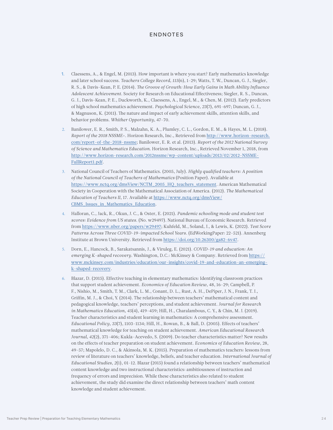#### ENDNOTES

- 1. Claessens, A., & Engel, M. (2013). How important is where you start? Early mathematics knowledge and later school success. *Teachers College Record, 115*(6), 1-29; Watts, T. W., Duncan, G. J., Siegler, R. S., & Davis-Kean, P. E. (2014). *The Groove of Growth: How Early Gains in Math Ability Influence Adolescent Achievement.* Society for Research on Educational Effectiveness; Siegler, R. S., Duncan, G. J., Davis-Kean, P. E., Duckworth, K., Claessens, A., Engel, M., & Chen, M. (2012). Early predictors of high school mathematics achievement. *Psychological Science, 23*(7), 691-697; Duncan, G. J., & Magnuson, K. (2011). The nature and impact of early achievement skills, attention skills, and behavior problems. *Whither Opportunity*, 47-70.
- 2. Banilower, E. R., Smith, P. S., Malzahn, K. A., Plumley, C. L., Gordon, E. M., & Hayes, M. L. (2018). *Report of the 2018 NSSME+*. Horizon Research, Inc., Retrieved from [http://www.horizon-research.](http://www.horizon-research.com/report-of-the-2018-nssme) [com/report-of-the-2018-nssme](http://www.horizon-research.com/report-of-the-2018-nssme); Banilower, E. R. et al. (2013). *Report of the 2012 National Survey of Science and Mathematics Education*. Horizon Research, Inc., Retrieved November 1, 2018, from [http://www.horizon-research.com/2012nssme/wp-content/uploads/2013/02/2012-NSSME-](http://www.horizon-research.com/2012nssme/wp-content/uploads/2013/02/2012-NSSME-FullReport1.pdf)[FullReport1.pdf.](http://www.horizon-research.com/2012nssme/wp-content/uploads/2013/02/2012-NSSME-FullReport1.pdf)
- 3. National Council of Teachers of Mathematics. (2005, July). *Highly qualified teachers: A position of the National Council of Teachers of Mathematics* (Position Paper). Available at [https://www.nctq.org/dmsView/NCTM\\_2005\\_HQ\\_teachers\\_statement](https://www.nctq.org/dmsView/NCTM_2005_HQ_teachers_statement). American Mathematical Society in Cooperation with the Mathematical Association of America. (2012). *The Mathematical Education of Teachers II*, 17. [Available at https://www.nctq.org/dmsView/](https://www.nctq.org/dmsView/CBMS_Issues_in_Mathematics_Education) CBMS\_Issues\_in\_Mathematics\_Education.
- 4. Halloran, C., Jack, R., Okun, J. C., & Oster, E. (2021). *Pandemic schooling mode and student test scores: Evidence from US states.* (No. w29497). National Bureau of Economic Research. Retrieved from <https://www.nber.org/papers/w29497>; Kuhfeld, M., Soland, J., & Lewis, K. (2022). *Test Score Patterns Across Three COVID-19-impacted School Years.* (EdWorkingPaper: 22-521). Annenberg Institute at Brown University. Retrieved from<https://doi.org/10.26300/ga82-6v47>.
- 5. Dorn, E., Hancock, B., Sarakatsannis, J., & Viruleg, E. (2021). *COVID-19 and education: An emerging K-shaped recovery*. Washington, D.C.: McKinsey & Company. Retrieved from [https://](https://www.mckinsey.com/industries/education/our-insights/covid-19-and-education-an-emerging-k-shaped-recovery) [www.mckinsey.com/industries/education/our-insights/covid-19-and-education-an-emerging](https://www.mckinsey.com/industries/education/our-insights/covid-19-and-education-an-emerging-k-shaped-recovery)[k-shaped-recovery](https://www.mckinsey.com/industries/education/our-insights/covid-19-and-education-an-emerging-k-shaped-recovery).
- 6. Blazar, D. (2015). Effective teaching in elementary mathematics: Identifying classroom practices that support student achievement. *Economics of Education Review*, 48, 16-29; Campbell, P. F., Nishio, M., Smith, T. M., Clark, L. M., Conant, D. L., Rust, A. H., DePiper, J. N., Frank, T. J., Griffin, M. J., & Choi, Y. (2014). The relationship between teachers' mathematical content and pedagogical knowledge, teachers' perceptions, and student achievement. *Journal for Research in Mathematics Education, 45*(4), 419-459; Hill, H., Charalambous, C. Y., & Chin, M. J. (2019). Teacher characteristics and student learning in mathematics: A comprehensive assessment. *Educational Policy, 33*(7), 1103-1134; Hill, H., Rowan, B., & Ball, D. (2005). Effects of teachers' mathematical knowledge for teaching on student achievement. *American Educational Research Journal, 42*(2), 371-406; Kukla-Acevedo, S. (2009). Do teacher characteristics matter? New results on the effects of teacher preparation on student achievement. *Economics of Education Review*, 28, 49-57; Mapolelo, D. C., & Akinsola, M. K. (2015). Preparation of mathematics teachers: lessons from review of literature on teachers' knowledge, beliefs, and teacher education. *International Journal of Educational Studies, 2*(1), 01-12. Blazar (2015) found a relationship between teachers' mathematical content knowledge and two instructional characteristics: ambitiousness of instruction and frequency of errors and imprecision. While these characteristics also related to student achievement, the study did examine the direct relationship between teachers' math content knowledge and student achievement.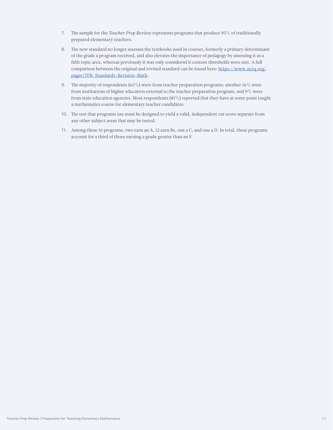- 7. The sample for the *Teacher Prep Review* represents programs that produce 95% of traditionally prepared elementary teachers.
- 8. The new standard no longer assesses the textbooks used in courses, formerly a primary determinant of the grade a program received, and also elevates the importance of pedagogy by assessing it as a fifth topic area, whereas previously it was only considered if content thresholds were met. A full comparison between the original and revised standard can be found here: [https://www.nctq.org/](https://www.nctq.org/pages/TPR-Standards-Revision-Math) [pages/TPR-Standards-Revision-Math](https://www.nctq.org/pages/TPR-Standards-Revision-Math).
- 9. The majority of respondents (65%) were from teacher preparation programs; another  $16\%$  were from institutions of higher education external to the teacher preparation program, and 9% were from state education agencies. Most respondents (81%) reported that they have at some point taught a mathematics course for elementary teacher candidates.
- 10. The test that programs use must be designed to yield a valid, independent cut score separate from any other subject areas that may be tested.
- 11. Among these 16 programs, two earn an A, 12 earn Bs, one a C, and one a D. In total, these programs account for a third of those earning a grade greater than an F.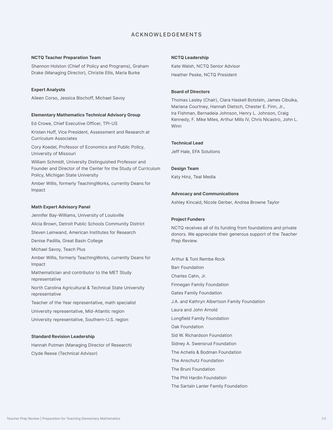#### ACKNOWLEDGEMENTS

#### **NCTQ Teacher Preparation Team**

Shannon Holston (Chief of Policy and Programs), Graham Drake (Managing Director), Christie Ellis, Maria Burke

#### **Expert Analysts**

Aileen Corso, Jessica Bischoff, Michael Savoy

#### **Elementary Mathematics Technical Advisory Group**

Ed Crowe, Chief Executive Officer, TPI-US

Kristen Huff, Vice President, Assessment and Research at Curriculum Associates

Cory Koedel, Professor of Economics and Public Policy, University of Missouri

William Schmidt, University Distinguished Professor and Founder and Director of the Center for the Study of Curriculum Policy, Michigan State University

Amber Willis, formerly TeachingWorks, currently Deans for Impact

#### **Math Expert Advisory Panel**

Jennifer Bay-Williams, University of Louisville Alicia Brown, Detroit Public Schools Community District Steven Leinwand, American Institutes for Research Denise Padilla, Great Basin College Michael Savoy, Teach Plus Amber Willis, formerly TeachingWorks, currently Deans for Impact Mathematician and contributor to the MET Study representative North Carolina Agricultural & Technical State University representative Teacher of the Year representative, math specialist University representative, Mid-Atlantic region

University representative, Southern-U.S. region

#### **Standard Revision Leadership**

Hannah Putman (Managing Director of Research) Clyde Reese (Technical Advisor)

#### **NCTQ Leadership**

Kate Walsh, NCTQ Senior Advisor Heather Peske, NCTQ President

#### **Board of Directors**

Thomas Lasley (Chair), Clara Haskell Botstein, James Cibulka, Mariana Courtney, Hannah Dietsch, Chester E. Finn, Jr., Ira Fishman, Bernadeia Johnson, Henry L. Johnson, Craig Kennedy, F. Mike Miles, Arthur Mills IV, Chris Nicastro, John L. Winn

#### **Technical Lead**

Jeff Hale, EFA Solutions

#### **Design Team**

Katy Hinz, Teal Media

#### **Advocacy and Communications**

Ashley Kincaid, Nicole Gerber, Andrea Browne Taylor

#### **Project Funders**

NCTQ receives all of its funding from foundations and private donors. We appreciate their generous support of the Teacher Prep Review.

Arthur & Toni Rembe Rock Barr Foundation Charles Cahn, Jr. Finnegan Family Foundation Gates Family Foundation J.A. and Kathryn Albertson Family Foundation Laura and John Arnold Longfield Family Foundation Oak Foundation Sid W. Richardson Foundation Sidney A. Swensrud Foundation The Achelis & Bodman Foundation The Anschutz Foundation The Bruni Foundation The Phil Hardin Foundation

#### The Sartain Lanier Family Foundation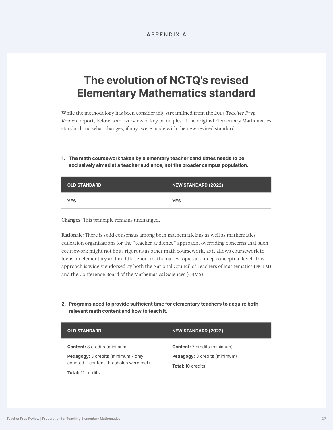# **The evolution of NCTQ's revised Elementary Mathematics standard**

While the methodology has been considerably streamlined from the 2014 *Teacher Prep Review* report, below is an overview of key principles of the original Elementary Mathematics standard and what changes, if any, were made with the new revised standard.

**1. The math coursework taken by elementary teacher candidates needs to be exclusively aimed at a teacher audience, not the broader campus population.**

| <b>OLD STANDARD</b> | NEW STANDARD (2022) |
|---------------------|---------------------|
| <b>YES</b>          | <b>YES</b>          |

Changes: This principle remains unchanged.

Rationale: There is solid consensus among both mathematicians as well as mathematics education organizations for the "teacher audience" approach, overriding concerns that such coursework might not be as rigorous as other math coursework, as it allows coursework to focus on elementary and middle school mathematics topics at a deep conceptual level. This approach is widely endorsed by both the National Council of Teachers of Mathematics (NCTM) and the Conference Board of the Mathematical Sciences (CBMS).

**2. Programs need to provide sufficient time for elementary teachers to acquire both relevant math content and how to teach it.**

| <b>OLD STANDARD</b>                        | <b>NEW STANDARD (2022)</b>           |
|--------------------------------------------|--------------------------------------|
| <b>Content:</b> 8 credits (minimum)        | <b>Content:</b> 7 credits (minimum)  |
| <b>Pedagogy:</b> 3 credits (minimum - only | <b>Pedagogy:</b> 3 credits (minimum) |
| counted if content thresholds were met)    | <b>Total:</b> 10 credits             |
| <b>Total:</b> 11 credits                   |                                      |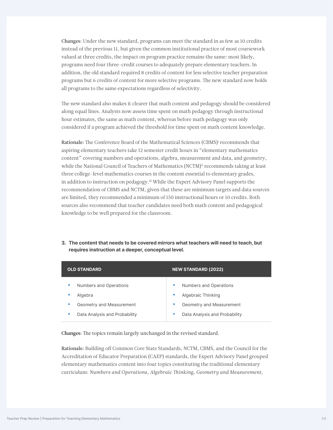Changes: Under the new standard, programs can meet the standard in as few as 10 credits instead of the previous 11, but given the common institutional practice of most coursework valued at three credits, the impact on program practice remains the same: most likely, programs need four three-credit courses to adequately prepare elementary teachers. In addition, the old standard required 8 credits of content for less selective teacher preparation programs but 6 credits of content for more selective programs. The new standard now holds all programs to the same expectations regardless of selectivity.

The new standard also makes it clearer that math content and pedagogy should be considered along equal lines. Analysts now assess time spent on math pedagogy through instructional hour estimates, the same as math content, whereas before math pedagogy was only considered if a program achieved the threshold for time spent on math content knowledge.

Rationale: The Conference Board of the Mathematical Sciences (CBMS)<sup>i</sup> recommends that aspiring elementary teachers take 12 semester credit hours in "elementary mathematics content" covering numbers and operations, algebra, measurement and data, and geometry, while the National Council of Teachers of Mathematics (NCTM)<sup>ii</sup> recommends taking at least three college-level mathematics courses in the content essential to elementary grades, in addition to instruction on pedagogy.<sup>ii</sup> While the Expert Advisory Panel supports the recommendation of CBMS and NCTM, given that these are minimum targets and data sources are limited, they recommended a minimum of 150 instructional hours or 10 credits. Both sources also recommend that teacher candidates need both math content and pedagogical knowledge to be well prepared for the classroom.

**3. The content that needs to be covered mirrors what teachers will need to teach, but requires instruction at a deeper, conceptual level.** 

| <b>OLD STANDARD</b>                                                                                                | <b>NEW STANDARD (2022)</b>                                                                                |
|--------------------------------------------------------------------------------------------------------------------|-----------------------------------------------------------------------------------------------------------|
| Numbers and Operations<br>٠<br>Algebra<br>٠<br>Geometry and Measurement<br>٠<br>Data Analysis and Probability<br>۰ | Numbers and Operations<br>Algebraic Thinking<br>Geometry and Measurement<br>Data Analysis and Probability |

Changes: The topics remain largely unchanged in the revised standard.

Rationale: Building off Common Core State Standards, NCTM, CBMS, and the Council for the Accreditation of Educator Preparation (CAEP) standards, the Expert Advisory Panel grouped elementary mathematics content into four topics constituting the traditional elementary curriculum: *Numbers and Operations, Algebraic Thinking, Geometry and Measurement,*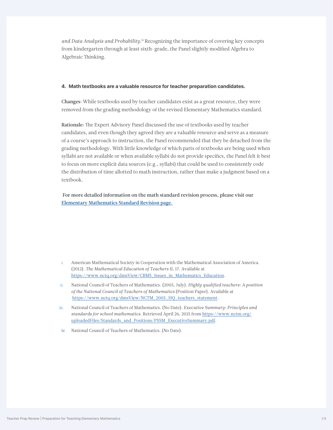*and Data Analysis and Probability.*iv Recognizing the importance of covering key concepts from kindergarten through at least sixth-grade, the Panel slightly modified Algebra to Algebraic Thinking.

#### **4. Math textbooks are a valuable resource for teacher preparation candidates.**

Changes: While textbooks used by teacher candidates exist as a great resource, they were removed from the grading methodology of the revised Elementary Mathematics standard.

Rationale: The Expert Advisory Panel discussed the use of textbooks used by teacher candidates, and even though they agreed they are a valuable resource and serve as a measure of a course's approach to instruction, the Panel recommended that they be detached from the grading methodology. With little knowledge of which parts of textbooks are being used when syllabi are not available or when available syllabi do not provide specifics, the Panel felt it best to focus on more explicit data sources (e.g., syllabi) that could be used to consistently code the distribution of time allotted to math instruction, rather than make a judgment based on a textbook.

For more detailed information on the math standard revision process, please visit our [Elementary Mathematics Standard Revision page.](https://www.nctq.org/pages/teacher-prep-review-math-revision-2022)

- i. American Mathematical Society in Cooperation with the Mathematical Association of America. (2012). *The Mathematical Education of Teachers II*, 17. Available at [https://www.nctq.org/dmsView/CBMS\\_Issues\\_in\\_Mathematics\\_Education](https://www.nctq.org/dmsView/CBMS_Issues_in_Mathematics_Education).
- ii. National Council of Teachers of Mathematics. (2005, July). *Highly qualified teachers: A position of the National Council of Teachers of Mathematics* (Position Paper). Available at [https://www.nctq.org/dmsView/NCTM\\_2005\\_HQ\\_teachers\\_statement](https://www.nctq.org/dmsView/NCTM_2005_HQ_teachers_statement).
- iii. National Council of Teachers of Mathematics. (No Date). *Executive Summary: Principles and standards for school mathematics*. Retrieved April 26, 2021 from [https://www.nctm.org/](https://www.nctm.org/uploadedFiles/Standards_and_Positions/PSSM_ExecutiveSummary.pdf) [uploadedFiles/Standards\\_and\\_Positions/PSSM\\_ExecutiveSummary.pdf.](https://www.nctm.org/uploadedFiles/Standards_and_Positions/PSSM_ExecutiveSummary.pdf)
- iv. National Council of Teachers of Mathematics. (No Date).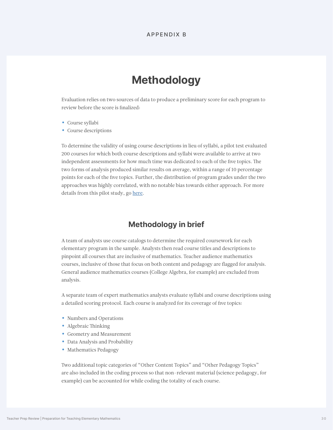# **Methodology**

<span id="page-29-0"></span>Evaluation relies on two sources of data to produce a preliminary score for each program to review before the score is finalized:

- Course syllabi
- Course descriptions

To determine the validity of using course descriptions in lieu of syllabi, a pilot test evaluated 200 courses for which both course descriptions and syllabi were available to arrive at two independent assessments for how much time was dedicated to each of the five topics. The two forms of analysis produced similar results on average, within a range of 10 percentage points for each of the five topics. Further, the distribution of program grades under the two approaches was highly correlated, with no notable bias towards either approach. For more details from this pilot study, go [here](https://www.nctq.org/pages/teacher-prep-review-math-revision-2022).

### **Methodology in brief**

A team of analysts use course catalogs to determine the required coursework for each elementary program in the sample. Analysts then read course titles and descriptions to pinpoint all courses that are inclusive of mathematics. Teacher audience mathematics courses, inclusive of those that focus on both content and pedagogy are flagged for analysis. General audience mathematics courses (College Algebra, for example) are excluded from analysis.

A separate team of expert mathematics analysts evaluate syllabi and course descriptions using a detailed scoring protocol. Each course is analyzed for its coverage of five topics:

- Numbers and Operations
- Algebraic Thinking
- Geometry and Measurement
- Data Analysis and Probability
- Mathematics Pedagogy

Two additional topic categories of "Other Content Topics" and "Other Pedagogy Topics" are also included in the coding process so that non-relevant material (science pedagogy, for example) can be accounted for while coding the totality of each course.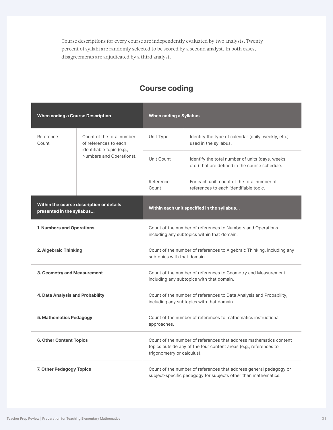Course descriptions for every course are independently evaluated by two analysts. Twenty percent of syllabi are randomly selected to be scored by a second analyst. In both cases, disagreements are adjudicated by a third analyst.

| <b>When coding a Course Description</b> |                                                                                 | <b>When coding a Syllabus</b>                                                                                                                                         |                                                                                                                  |  |
|-----------------------------------------|---------------------------------------------------------------------------------|-----------------------------------------------------------------------------------------------------------------------------------------------------------------------|------------------------------------------------------------------------------------------------------------------|--|
| Reference<br>Count                      | Count of the total number<br>of references to each<br>identifiable topic (e.g., | Unit Type                                                                                                                                                             | Identify the type of calendar (daily, weekly, etc.)<br>used in the syllabus.                                     |  |
|                                         | Numbers and Operations).                                                        | Unit Count                                                                                                                                                            | Identify the total number of units (days, weeks,<br>etc.) that are defined in the course schedule.               |  |
|                                         |                                                                                 | Reference<br>Count                                                                                                                                                    | For each unit, count of the total number of<br>references to each identifiable topic.                            |  |
| presented in the syllabus               | Within the course description or details                                        | Within each unit specified in the syllabus                                                                                                                            |                                                                                                                  |  |
| <b>1. Numbers and Operations</b>        |                                                                                 | Count of the number of references to Numbers and Operations<br>including any subtopics within that domain.                                                            |                                                                                                                  |  |
| 2. Algebraic Thinking                   |                                                                                 | Count of the number of references to Algebraic Thinking, including any<br>subtopics with that domain.                                                                 |                                                                                                                  |  |
| 3. Geometry and Measurement             |                                                                                 | Count of the number of references to Geometry and Measurement<br>including any subtopics with that domain.                                                            |                                                                                                                  |  |
| 4. Data Analysis and Probability        |                                                                                 |                                                                                                                                                                       | Count of the number of references to Data Analysis and Probability,<br>including any subtopics with that domain. |  |
| 5. Mathematics Pedagogy                 |                                                                                 | Count of the number of references to mathematics instructional<br>approaches.                                                                                         |                                                                                                                  |  |
| <b>6. Other Content Topics</b>          |                                                                                 | Count of the number of references that address mathematics content<br>topics outside any of the four content areas (e.g., references to<br>trigonometry or calculus). |                                                                                                                  |  |
| 7. Other Pedagogy Topics                |                                                                                 | Count of the number of references that address general pedagogy or<br>subject-specific pedagogy for subjects other than mathematics.                                  |                                                                                                                  |  |

# **Course coding**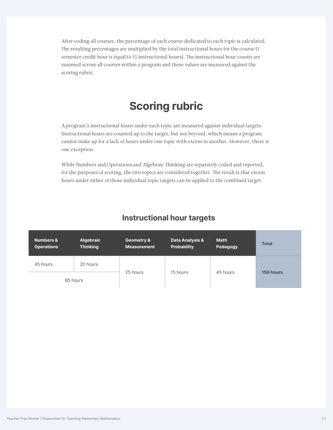After coding all courses, the percentage of each course dedicated to each topic is calculated. The resulting percentages are multiplied by the total instructional hours for the course (1 semester credit hour is equal to 15 instructional hours). The instructional hour counts are summed across all courses within a program and those values are measured against the scoring rubric.

# **Scoring rubric**

A program's instructional hours under each topic are measured against individual targets. Instructional hours are counted up to the target, but not beyond, which means a program cannot make up for a lack of hours under one topic with excess in another. However, there is one exception.

While Numbers and Operations and Algebraic Thinking are separately coded and reported, for the purposes of scoring, the two topics are considered together. The result is that excess hours under either of those individual topic targets can be applied to the combined target.

### **Instructional hour targets**

| <b>Numbers &amp;</b><br><b>Operations</b> | <b>Algebraic</b><br><b>Thinking</b> | Geometry &<br><b>Measurement</b> | Data Analysis &<br><b>Probability</b> | <b>Math</b><br>Pedagogy | <b>Total</b> |
|-------------------------------------------|-------------------------------------|----------------------------------|---------------------------------------|-------------------------|--------------|
| 45 hours                                  | 20 hours                            |                                  |                                       |                         |              |
|                                           | 65 hours                            | 25 hours                         | 15 hours                              | 45 hours                | 150 hours    |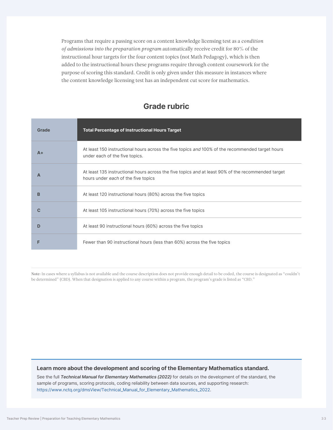Programs that require a passing score on a content knowledge licensing test as a *condition of admissions into the preparation program* automatically receive credit for 80% of the instructional hour targets for the four content topics (not Math Pedagogy), which is then added to the instructional hours these programs require through content coursework for the purpose of scoring this standard. Credit is only given under this measure in instances where the content knowledge licensing test has an independent cut score for mathematics.

### **Grade rubric**

| Grade | <b>Total Percentage of Instructional Hours Target</b>                                                                                     |
|-------|-------------------------------------------------------------------------------------------------------------------------------------------|
| $A+$  | At least 150 instructional hours across the five topics and 100% of the recommended target hours<br>under each of the five topics.        |
| A     | At least 135 instructional hours across the five topics and at least 90% of the recommended target<br>hours under each of the five topics |
| B     | At least 120 instructional hours (80%) across the five topics                                                                             |
|       | At least 105 instructional hours (70%) across the five topics                                                                             |
|       | At least 90 instructional hours (60%) across the five topics                                                                              |
|       | Fewer than 90 instructional hours (less than 60%) across the five topics                                                                  |

Note: In cases where a syllabus is not available and the course description does not provide enough detail to be coded, the course is designated as "couldn't be determined" (CBD). When that designation is applied to any course within a program, the program's grade is listed as "CBD."

#### **Learn more about the development and scoring of the Elementary Mathematics standard.**

See the full *Technical Manual for Elementary Mathematics (2022)* for details on the development of the standard, the sample of programs, scoring protocols, coding reliability between data sources, and supporting research: [https://www.nctq.org/dmsView/Technical\\_Manual\\_for\\_Elementary\\_Mathematics\\_2022](https://www.nctq.org/dmsView/Technical_Manual_for_Elementary_Mathematics_2022).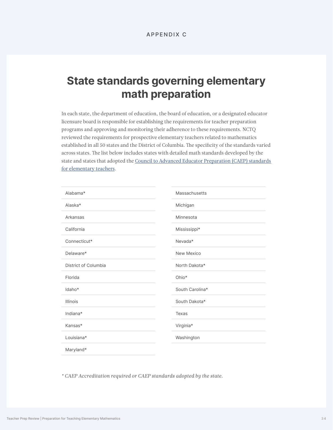# **State standards governing elementary math preparation**

In each state, the department of education, the board of education, or a designated educator licensure board is responsible for establishing the requirements for teacher preparation programs and approving and monitoring their adherence to these requirements. NCTQ reviewed the requirements for prospective elementary teachers related to mathematics established in all 50 states and the District of Columbia. The specificity of the standards varied across states. The list below includes states with detailed math standards developed by the state and states that adopted the [Council to Advanced Educator Preparation \(CAEP\) standards](http://caepnet.org/~/media/Files/caep/standards/2018-caep-k-6-elementary-teacher-prepara.pdf?la=en)  [for elementary teachers.](http://caepnet.org/~/media/Files/caep/standards/2018-caep-k-6-elementary-teacher-prepara.pdf?la=en)

| Alabama*             | Massachusetts   |
|----------------------|-----------------|
| Alaska*              | Michigan        |
| Arkansas             | Minnesota       |
| California           | Mississippi*    |
| Connecticut*         | Nevada*         |
| Delaware*            | New Mexico      |
| District of Columbia | North Dakota*   |
| Florida              | Ohio*           |
| Idaho*               | South Carolina* |
| <b>Illinois</b>      | South Dakota*   |
| Indiana*             | Texas           |
| Kansas*              | Virginia*       |
| Louisiana*           | Washington      |
| Maryland*            |                 |

*\* CAEP Accreditation required or CAEP standards adopted by the state.*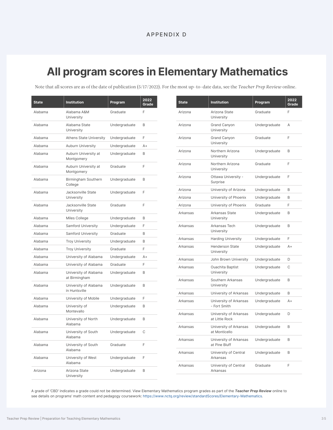# **All program scores in Elementary Mathematics**

Note that all scores are as of the date of publication (5/17/2022). For the most up-to-date data, see the *Teacher Prep Review* online.

| <b>State</b> | <b>Institution</b>                     | Program       | 2022<br>Grade |
|--------------|----------------------------------------|---------------|---------------|
| Alabama      | Alabama A&M<br>University              | Graduate      | F             |
| Alabama      | Alabama State<br>University            | Undergraduate | B             |
| Alabama      | <b>Athens State University</b>         | Undergraduate | F             |
| Alabama      | <b>Auburn University</b>               | Undergraduate | $A +$         |
| Alabama      | Auburn University at<br>Montgomery     | Undergraduate | B             |
| Alabama      | Auburn University at<br>Montgomery     | Graduate      | F             |
| Alabama      | Birmingham Southern<br>College         | Undergraduate | B             |
| Alabama      | Jacksonville State<br>University       | Undergraduate | F             |
| Alabama      | Jacksonville State<br>University       | Graduate      | F             |
| Alabama      | Miles College                          | Undergraduate | B             |
| Alabama      | <b>Samford University</b>              | Undergraduate | F             |
| Alabama      | <b>Samford University</b>              | Graduate      | B             |
| Alabama      | <b>Troy University</b>                 | Undergraduate | B             |
| Alabama      | <b>Troy University</b>                 | Graduate      | F             |
| Alabama      | University of Alabama                  | Undergraduate | $A +$         |
| Alabama      | University of Alabama                  | Graduate      | F             |
| Alabama      | University of Alabama<br>at Birmingham | Undergraduate | B             |
| Alabama      | University of Alabama<br>in Huntsville | Undergraduate | B             |
| Alabama      | University of Mobile                   | Undergraduate | F             |
| Alabama      | University of<br>Montevallo            | Undergraduate | B             |
| Alabama      | University of North<br>Alabama         | Undergraduate | B             |
| Alahama      | University of South<br>Alabama         | Undergraduate | C             |
| Alabama      | University of South<br>Alabama         | Graduate      | F             |
| Alabama      | University of West<br>Alabama          | Undergraduate | F             |
| Arizona      | Arizona State<br>University            | Undergraduate | B             |

| <b>State</b> | <b>Institution</b>                       | Program       | 2022<br>Grade |
|--------------|------------------------------------------|---------------|---------------|
| Arizona      | Arizona State<br>University              | Graduate      | F             |
| Arizona      | <b>Grand Canyon</b><br>University        | Undergraduate | A             |
| Arizona      | Grand Canyon<br>University               | Graduate      | E             |
| Arizona      | Northern Arizona<br>University           | Undergraduate | B             |
| Arizona      | Northern Arizona<br>University           | Graduate      | F             |
| Arizona      | Ottawa University -<br>Surprise          | Undergraduate | F             |
| Arizona      | University of Arizona                    | Undergraduate | B             |
| Arizona      | University of Phoenix                    | Undergraduate | B             |
| Arizona      | University of Phoenix                    | Graduate      | F             |
| Arkansas     | Arkansas State<br>University             | Undergraduate | B             |
| Arkansas     | Arkansas Tech<br>University              | Undergraduate | B             |
| Arkansas     | <b>Harding University</b>                | Undergraduate | F             |
| Arkansas     | <b>Henderson State</b><br>University     | Undergraduate | $A +$         |
| Arkansas     | John Brown University                    | Undergraduate | D             |
| Arkansas     | <b>Ouachita Baptist</b><br>University    | Undergraduate | C             |
| Arkansas     | Southern Arkansas<br>University          | Undergraduate | B             |
| Arkansas     | University of Arkansas                   | Undergraduate | B             |
| Arkansas     | University of Arkansas<br>- Fort Smith   | Undergraduate | $A +$         |
| Arkansas     | University of Arkansas<br>at Little Rock | Undergraduate | D             |
| Arkansas     | University of Arkansas<br>at Monticello  | Undergraduate | B             |
| Arkansas     | University of Arkansas<br>at Pine Bluff  | Undergraduate | B             |
| Arkansas     | University of Central<br>Arkansas        | Undergraduate | B             |
| Arkansas     | University of Central<br>Arkansas        | Graduate      | F             |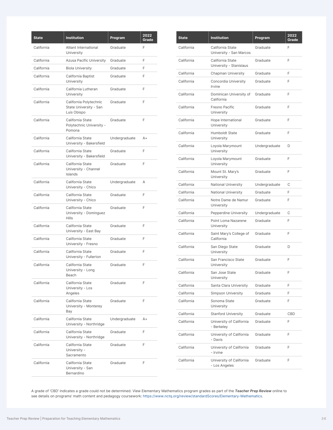| <b>State</b> | <b>Institution</b>                                              | Program       | 2022<br>Grade |
|--------------|-----------------------------------------------------------------|---------------|---------------|
| California   | Alliant International<br>University                             | Graduate      | F.            |
| California   | <b>Azusa Pacific University</b>                                 | Graduate      | F             |
| California   | <b>Biola University</b>                                         | Graduate      | F             |
| California   | California Baptist<br>University                                | Graduate      | F             |
| California   | California Lutheran<br>University                               | Graduate      | F             |
| California   | California Polytechnic<br>State University - San<br>Luis Obispo | Graduate      | E             |
| California   | California State<br>Polytechnic University -<br>Pomona          | Graduate      | F             |
| California   | California State<br>University - Bakersfield                    | Undergraduate | $A +$         |
| California   | California State<br>University - Bakersfield                    | Graduate      | F             |
| California   | California State<br>University - Channel<br>Islands             | Graduate      | F             |
| California   | California State<br>University - Chico                          | Undergraduate | A             |
| California   | California State<br>University - Chico                          | Graduate      | F             |
| California   | California State<br>University - Dominguez<br><b>Hills</b>      | Graduate      | F             |
| California   | California State<br>University - East Bay                       | Graduate      | F             |
| California   | California State<br>University - Fresno                         | Graduate      | F             |
| California   | California State<br>University - Fullerton                      | Graduate      | E             |
| California   | California State<br>University - Long<br>Beach                  | Graduate      | F             |
| California   | California State<br>University - Los<br>Angeles                 | Graduate      | F             |
| California   | California State<br>University - Monterey<br>Bay                | Graduate      | F             |
| California   | California State<br>University - Northridge                     | Undergraduate | $A +$         |
| California   | California State<br>University - Northridge                     | Graduate      | F             |
| California   | California State<br>University -<br>Sacramento                  | Graduate      | F             |
| California   | California State<br>University - San<br>Bernardino              | Graduate      | F             |

| <b>State</b> | <b>Institution</b>                          | Program       | 2022<br>Grade |
|--------------|---------------------------------------------|---------------|---------------|
| California   | California State<br>University - San Marcos | Graduate      | F             |
| California   | California State<br>University - Stanislaus | Graduate      | F             |
| California   | Chapman University                          | Graduate      | F             |
| California   | Concordia University<br>Irvine              | Graduate      | F             |
| California   | Dominican University of<br>California       | Graduate      | F             |
| California   | Fresno Pacific<br>University                | Graduate      | F             |
| California   | Hope International<br>University            | Graduate      | F             |
| California   | Humboldt State<br>University                | Graduate      | F             |
| California   | Loyola Marymount<br>University              | Undergraduate | D             |
| California   | Loyola Marymount<br>University              | Graduate      | F             |
| California   | Mount St. Mary's<br>University              | Graduate      | F             |
| California   | <b>National University</b>                  | Undergraduate | С             |
| California   | <b>National University</b>                  | Graduate      | F             |
| California   | Notre Dame de Namur<br>University           | Graduate      | F             |
| California   | Pepperdine University                       | Undergraduate | С             |
| California   | Point Loma Nazarene<br>University           | Graduate      | F             |
| California   | Saint Mary's College of<br>California       | Graduate      | F             |
| California   | San Diego State<br>University               | Graduate      | D             |
| California   | San Francisco State<br>University           | Graduate      | F             |
| California   | San Jose State<br>University                | Graduate      | F             |
| California   | Santa Clara University                      | Graduate      | F             |
| California   | <b>Simpson University</b>                   | Graduate      | F             |
| California   | Sonoma State<br>University                  | Graduate      | F             |
| California   | <b>Stanford University</b>                  | Graduate      | CBD           |
| California   | University of California<br>- Berkeley      | Graduate      | F             |
| California   | University of California<br>- Davis         | Graduate      | F             |
| California   | University of California<br>- Irvine        | Graduate      | F             |
| California   | University of California<br>- Los Angeles   | Graduate      | F             |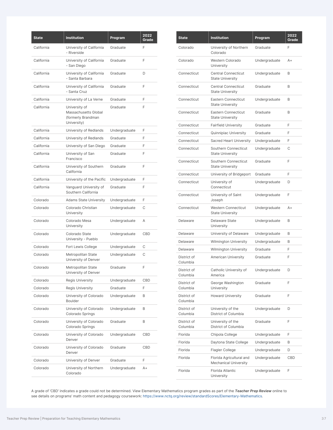| <b>State</b> | <b>Institution</b>                                                         | Program       | 2022<br>Grade |
|--------------|----------------------------------------------------------------------------|---------------|---------------|
| California   | University of California<br>- Riverside                                    | Graduate      | F             |
| California   | University of California<br>- San Diego                                    | Graduate      | F             |
| California   | University of California<br>- Santa Barbara                                | Graduate      | D             |
| California   | University of California<br>- Santa Cruz                                   | Graduate      | F             |
| California   | University of La Verne                                                     | Graduate      | F             |
| California   | University of<br>Massachusetts Global<br>(formerly Brandman<br>University) | Graduate      | F             |
| California   | University of Redlands                                                     | Undergraduate | F             |
| California   | University of Redlands                                                     | Graduate      | F             |
| California   | University of San Diego                                                    | Graduate      | F             |
| California   | University of San<br>Francisco                                             | Graduate      | F             |
| California   | University of Southern<br>California                                       | Graduate      | F             |
| California   | University of the Pacific                                                  | Undergraduate | F             |
| California   | Vanguard University of<br>Southern California                              | Graduate      | F             |
| Colorado     | <b>Adams State University</b>                                              | Undergraduate | F             |
| Colorado     | Colorado Christian<br>University                                           | Undergraduate | C             |
| Colorado     | Colorado Mesa<br>University                                                | Undergraduate | Α             |
| Colorado     | Colorado State<br>University - Pueblo                                      | Undergraduate | CBD           |
| Colorado     | Fort Lewis College                                                         | Undergraduate | C             |
| Colorado     | Metropolitan State<br>University of Denver                                 | Undergraduate | C             |
| Colorado     | Metropolitan State<br>University of Denver                                 | Graduate      | F             |
| Colorado     | <b>Regis University</b>                                                    | Undergraduate | CBD           |
| Colorado     | <b>Regis University</b>                                                    | Graduate      | F             |
| Colorado     | University of Colorado<br><b>Boulder</b>                                   | Undergraduate | B             |
| Colorado     | University of Colorado<br>Colorado Springs                                 | Undergraduate | B             |
| Colorado     | University of Colorado<br>Colorado Springs                                 | Graduate      | В             |
| Colorado     | University of Colorado<br>Denver                                           | Undergraduate | CBD           |
| Colorado     | University of Colorado<br>Denver                                           | Graduate      | CBD           |
| Colorado     | University of Denver                                                       | Graduate      | F             |
| Colorado     | University of Northern<br>Colorado                                         | Undergraduate | A+            |

| State                   | <b>Institution</b>                                       | Program       | 2022<br>Grade |
|-------------------------|----------------------------------------------------------|---------------|---------------|
| Colorado                | University of Northern<br>Colorado                       | Graduate      | F             |
| Colorado                | Western Colorado<br>University                           | Undergraduate | $A+$          |
| Connecticut             | <b>Central Connecticut</b><br><b>State University</b>    | Undergraduate | B             |
| Connecticut             | <b>Central Connecticut</b><br><b>State University</b>    | Graduate      | B             |
| Connecticut             | <b>Eastern Connecticut</b><br><b>State University</b>    | Undergraduate | B             |
| Connecticut             | <b>Eastern Connecticut</b><br><b>State University</b>    | Graduate      | B             |
| Connecticut             | <b>Fairfield University</b>                              | Graduate      | F             |
| Connecticut             | Quinnipiac University                                    | Graduate      | F             |
| Connecticut             | Sacred Heart University                                  | Undergraduate | F             |
| Connecticut             | Southern Connecticut<br><b>State University</b>          | Undergraduate | C             |
| Connecticut             | Southern Connecticut<br><b>State University</b>          | Graduate      | F             |
| Connecticut             | University of Bridgeport                                 | Graduate      | F             |
| Connecticut             | University of<br>Connecticut                             | Undergraduate | D             |
| Connecticut             | University of Saint<br>Joseph                            | Undergraduate | F             |
| Connecticut             | <b>Western Connecticut</b><br><b>State University</b>    | Undergraduate | $A+$          |
| Delaware                | Delaware State<br>University                             | Undergraduate | B             |
| Delaware                | University of Delaware                                   | Undergraduate | B             |
| Delaware                | Wilmington University                                    | Undergraduate | B             |
| Delaware                | <b>Wilmington University</b>                             | Graduate      | F             |
| District of<br>Columbia | American University                                      | Graduate      | F             |
| District of<br>Columbia | Catholic University of<br>America                        | Undergraduate | D             |
| District of<br>Columbia | George Washington<br>University                          | Graduate      | F             |
| District of<br>Columbia | <b>Howard University</b>                                 | Graduate      | F             |
| District of<br>Columbia | University of the<br>District of Columbia                | Undergraduate | D             |
| District of<br>Columbia | University of the<br>District of Columbia                | Graduate      | F             |
| Florida                 | Chipola College                                          | Undergraduate | F             |
| Florida                 | Daytona State College                                    | Undergraduate | B             |
| Florida                 | <b>Flagler College</b>                                   | Undergraduate | D             |
| Florida                 | Florida Agricultural and<br><b>Mechanical University</b> | Undergraduate | <b>CBD</b>    |
| Florida                 | Florida Atlantic<br>University                           | Undergraduate | F             |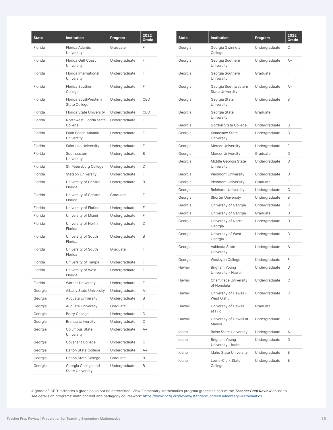| <b>State</b> | <b>Institution</b>                             | Program       | 2022<br>Grade |
|--------------|------------------------------------------------|---------------|---------------|
| Florida      | Florida Atlantic<br>University                 | Graduate      | F             |
| Florida      | Florida Gulf Coast<br>University               | Undergraduate | F             |
| Florida      | Florida International<br>University            | Undergraduate | F             |
| Florida      | Florida Southern<br>College                    | Undergraduate | F             |
| Florida      | Florida SouthWestern<br><b>State College</b>   | Undergraduate | CBD           |
| Florida      | <b>Florida State University</b>                | Undergraduate | CBD           |
| Florida      | Northwest Florida State<br>College             | Undergraduate | F             |
| Florida      | Palm Beach Atlantic<br>University              | Undergraduate | F             |
| Florida      | Saint Leo University                           | Undergraduate | F             |
| Florida      | Southeastern<br>University                     | Undergraduate | B             |
| Florida      | St. Petersburg College                         | Undergraduate | D             |
| Florida      | <b>Stetson University</b>                      | Undergraduate | F             |
| Florida      | University of Central<br>Florida               | Undergraduate | B             |
| Florida      | University of Central<br>Florida               | Graduate      | F             |
| Florida      | University of Florida                          | Undergraduate | F             |
| Florida      | University of Miami                            | Undergraduate | F             |
| Florida      | University of North<br>Florida                 | Undergraduate | D             |
| Florida      | University of South<br>Florida                 | Undergraduate | B             |
| Florida      | University of South<br>Florida                 | Graduate      | F             |
| Florida      | University of Tampa                            | Undergraduate | F             |
| Florida      | University of West<br>Florida                  | Undergraduate | F             |
| Florida      | <b>Warner University</b>                       | Undergraduate | F             |
| Georgia      | Albany State University                        | Undergraduate | A+            |
| Georgia      | Augusta University                             | Undergraduate | B             |
| Georgia      | Augusta University                             | Graduate      | С             |
| Georgia      | Berry College                                  | Undergraduate | D             |
| Georgia      | <b>Brenau University</b>                       | Undergraduate | D             |
| Georgia      | Columbus State<br>University                   | Undergraduate | A+            |
| Georgia      | <b>Covenant College</b>                        | Undergraduate | С             |
| Georgia      | Dalton State College                           | Undergraduate | A+            |
| Georgia      | Dalton State College                           | Graduate      | В             |
| Georgia      | Georgia College and<br><b>State University</b> | Undergraduate | В             |

| <b>State</b> | <b>Institution</b>                              | Program       | 2022<br>Grade |
|--------------|-------------------------------------------------|---------------|---------------|
| Georgia      | Georgia Gwinnett<br>College                     | Undergraduate | С             |
| Georgia      | Georgia Southern<br>University                  | Undergraduate | $A+$          |
| Georgia      | Georgia Southern<br>University                  | Graduate      | F             |
| Georgia      | Georgia Southwestern<br><b>State University</b> | Undergraduate | $A+$          |
| Georgia      | Georgia State<br>University                     | Undergraduate | B             |
| Georgia      | Georgia State<br>University                     | Graduate      | F             |
| Georgia      | Gordon State College                            | Undergraduate | B             |
| Georgia      | Kennesaw State<br>University                    | Undergraduate | B             |
| Georgia      | <b>Mercer University</b>                        | Undergraduate | F             |
| Georgia      | <b>Mercer University</b>                        | Graduate      | D             |
| Georgia      | Middle Georgia State<br>University              | Undergraduate | D             |
| Georgia      | <b>Piedmont University</b>                      | Undergraduate | D             |
| Georgia      | <b>Piedmont University</b>                      | Graduate      | F             |
| Georgia      | <b>Reinhardt University</b>                     | Undergraduate | С             |
| Georgia      | <b>Shorter University</b>                       | Undergraduate | B             |
| Georgia      | University of Georgia                           | Undergraduate | С             |
| Georgia      | University of Georgia                           | Graduate      | D             |
| Georgia      | University of North<br>Georgia                  | Undergraduate | D             |
| Georgia      | University of West<br>Georgia                   | Undergraduate | B             |
| Georgia      | Valdosta State<br>University                    | Undergraduate | A+            |
| Georgia      | Wesleyan College                                | Undergraduate | F             |
| Hawaii       | Brigham Young<br>University - Hawaii            | Undergraduate | D             |
| Hawaii       | Chaminade University<br>of Honolulu             | Undergraduate | С             |
| Hawaii       | University of Hawaii -<br>West O'ahu            | Undergraduate | С             |
| Hawaii       | University of Hawaii<br>at Hilo                 | Graduate      | F             |
| Hawaii       | University of Hawaii at<br>Manoa                | Undergraduate | С             |
| Idaho        | <b>Boise State University</b>                   | Undergraduate | A+            |
| Idaho        | Brigham Young<br>University - Idaho             | Undergraduate | D             |
| Idaho        | Idaho State University                          | Undergraduate | B             |
| Idaho        | Lewis-Clark State<br>College                    | Undergraduate | B             |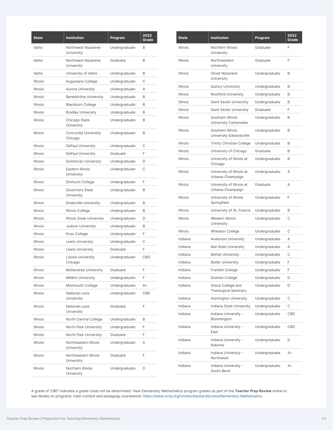| <b>State</b>    | <b>Institution</b>                   | Program       | 2022<br>Grade |
|-----------------|--------------------------------------|---------------|---------------|
| Idaho           | Northwest Nazarene<br>University     | Undergraduate | B             |
| Idaho           | Northwest Nazarene<br>University     | Graduate      | B             |
| Idaho           | University of Idaho                  | Undergraduate | B             |
| <b>Illinois</b> | Augustana College                    | Undergraduate | С             |
| Illinois        | Aurora University                    | Undergraduate | A             |
| Illinois        | <b>Benedictine University</b>        | Undergraduate | B             |
| Illinois        | <b>Blackburn College</b>             | Undergraduate | B             |
| Illinois        | <b>Bradley University</b>            | Undergraduate | B             |
| <b>Illinois</b> | Chicago State<br>University          | Undergraduate | B             |
| <b>Illinois</b> | Concordia University<br>Chicago      | Undergraduate | B             |
| Illinois        | DePaul University                    | Undergraduate | C             |
| <b>Illinois</b> | DePaul University                    | Graduate      | F             |
| <b>Illinois</b> | Dominican University                 | Undergraduate | D             |
| <b>Illinois</b> | Eastern Illinois<br>University       | Undergraduate | C             |
| <b>Illinois</b> | <b>Elmhurst College</b>              | Undergraduate | F             |
| <b>Illinois</b> | <b>Governors State</b><br>University | Undergraduate | B             |
| Illinois        | <b>Greenville University</b>         | Undergraduate | B             |
| Illinois        | Illinois College                     | Undergraduate | B             |
| Illinois        | Illinois State University            | Undergraduate | D             |
| <b>Illinois</b> | Judson University                    | Undergraduate | B             |
| Illinois        | Knox College                         | Undergraduate | F             |
| Illinois        | <b>Lewis University</b>              | Undergraduate | C             |
| <b>Illinois</b> | Lewis University                     | Graduate      | F             |
| <b>Illinois</b> | Loyola University<br>Chicago         | Undergraduate | CBD           |
| Illinois        | McKendree University                 | Graduate      | F             |
| Illinois        | Millikin University                  | Undergraduate | F             |
| <b>Illinois</b> | Monmouth College                     | Undergraduate | A+            |
| Illinois        | <b>National Louis</b><br>University  | Undergraduate | CBD           |
| Illinois        | National Louis<br>University         | Graduate      | F             |
| Illinois        | North Central College                | Undergraduate | B             |
| <b>Illinois</b> | North Park University                | Undergraduate | F             |
| Illinois        | North Park University                | Graduate      | F             |
| <b>Illinois</b> | Northeastern Illinois<br>University  | Undergraduate | Α             |
| <b>Illinois</b> | Northeastern Illinois<br>University  | Graduate      | F             |
| Illinois        | Northern Illinois<br>University      | Undergraduate | D             |

| <b>State</b>    | <b>Institution</b>                               | Program       | 2022<br>Grade |
|-----------------|--------------------------------------------------|---------------|---------------|
| Illinois        | Northern Illinois<br>University                  | Graduate      | F             |
| Illinois        | Northwestern<br>University                       | Graduate      | F             |
| Illinois        | <b>Olivet Nazarene</b><br>University             | Undergraduate | B             |
| Illinois        | <b>Quincy University</b>                         | Undergraduate | B             |
| Illinois        | <b>Rockford University</b>                       | Undergraduate | B             |
| Illinois        | Saint Xavier University                          | Undergraduate | B             |
| Illinois        | Saint Xavier University                          | Graduate      | F             |
| Illinois        | Southern Illinois<br>University Carbondale       | Undergraduate | B             |
| Illinois        | Southern Illinois<br>University Edwardsville     | Undergraduate | B             |
| <b>Illinois</b> | <b>Trinity Christian College</b>                 | Undergraduate | B             |
| Illinois        | University of Chicago                            | Graduate      | B             |
| Illinois        | University of Illinois at<br>Chicago             | Undergraduate | B             |
| <b>Illinois</b> | University of Illinois at<br>Urbana-Champaign    | Undergraduate | Α             |
| <b>Illinois</b> | University of Illinois at<br>Urbana-Champaign    | Graduate      | Α             |
| <b>Illinois</b> | University of Illinois<br>Springfield            | Undergraduate | F             |
| Illinois        | University of St. Francis                        | Undergraduate | B             |
| Illinois        | Western Illinois<br>University                   | Undergraduate | С             |
| <b>Illinois</b> | <b>Wheaton College</b>                           | Undergraduate | С             |
| Indiana         | Anderson University                              | Undergraduate | Α             |
| Indiana         | <b>Ball State University</b>                     | Undergraduate | Α             |
| Indiana         | <b>Bethel University</b>                         | Undergraduate | С             |
| Indiana         | <b>Butler University</b>                         | Undergraduate | F             |
| Indiana         | Franklin College                                 | Undergraduate | F             |
| Indiana         | Goshen College                                   | Undergraduate | D             |
| Indiana         | Grace College and<br><b>Theological Seminary</b> | Undergraduate | D             |
| Indiana         | <b>Huntington University</b>                     | Undergraduate | С             |
| Indiana         | Indiana State University                         | Undergraduate | C             |
| Indiana         | Indiana University -<br>Bloomington              | Undergraduate | <b>CBD</b>    |
| Indiana         | Indiana University -<br>East                     | Undergraduate | CBD           |
| Indiana         | Indiana University -<br>Kokomo                   | Undergraduate | D             |
| Indiana         | Indiana University -<br>Northwest                | Undergraduate | A+            |
| Indiana         | Indiana University -<br>South Bend               | Undergraduate | A+            |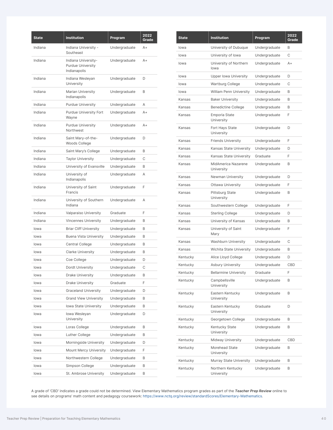| <b>State</b> | <b>Institution</b>                                       | Program       | 2022<br>Grade |
|--------------|----------------------------------------------------------|---------------|---------------|
| Indiana      | Indiana University -<br>Southeast                        | Undergraduate | $A +$         |
| Indiana      | Indiana University-<br>Purdue University<br>Indianapolis | Undergraduate | A+            |
| Indiana      | Indiana Wesleyan<br>University                           | Undergraduate | D             |
| Indiana      | Marian University<br>Indianapolis                        | Undergraduate | B             |
| Indiana      | <b>Purdue University</b>                                 | Undergraduate | A             |
| Indiana      | <b>Purdue University Fort</b><br>Wayne                   | Undergraduate | $A +$         |
| Indiana      | <b>Purdue University</b><br>Northwest                    | Undergraduate | A+            |
| Indiana      | Saint Mary-of-the-<br>Woods College                      | Undergraduate | D             |
| Indiana      | Saint Mary's College                                     | Undergraduate | B             |
| Indiana      | <b>Taylor University</b>                                 | Undergraduate | С             |
| Indiana      | University of Evansville                                 | Undergraduate | B             |
| Indiana      | University of<br>Indianapolis                            | Undergraduate | А             |
| Indiana      | University of Saint<br>Francis                           | Undergraduate | F             |
| Indiana      | University of Southern<br>Indiana                        | Undergraduate | А             |
| Indiana      | Valparaiso University                                    | Graduate      | F             |
| Indiana      | <b>Vincennes University</b>                              | Undergraduate | B             |
| lowa         | <b>Briar Cliff University</b>                            | Undergraduate | B             |
| lowa         | <b>Buena Vista University</b>                            | Undergraduate | B             |
| lowa         | Central College                                          | Undergraduate | B             |
| lowa         | <b>Clarke University</b>                                 | Undergraduate | B             |
| lowa         | Coe College                                              | Undergraduate | D             |
| lowa         | Dordt University                                         | Undergraduate | С             |
| lowa         | <b>Drake University</b>                                  | Undergraduate | B             |
| lowa         | <b>Drake University</b>                                  | Graduate      | F             |
| lowa         | <b>Graceland University</b>                              | Undergraduate | D             |
| lowa         | <b>Grand View University</b>                             | Undergraduate | B             |
| lowa         | Iowa State University                                    | Undergraduate | В             |
| lowa         | Iowa Wesleyan<br>University                              | Undergraduate | D             |
| lowa         | Loras College                                            | Undergraduate | B             |
| lowa         | Luther College                                           | Undergraduate | B             |
| lowa         | Morningside University                                   | Undergraduate | D             |
| lowa         | Mount Mercy University                                   | Undergraduate | F             |
| lowa         | Northwestern College                                     | Undergraduate | B             |
| lowa         | Simpson College                                          | Undergraduate | B             |
| lowa         | St. Ambrose University                                   | Undergraduate | B             |

| <b>State</b> | <b>Institution</b>                   | Program       | 2022<br>Grade |
|--------------|--------------------------------------|---------------|---------------|
| lowa         | University of Dubuque                | Undergraduate | B             |
| lowa         | University of Iowa                   | Undergraduate | C             |
| lowa         | University of Northern<br>lowa       | Undergraduate | $A+$          |
| lowa         | <b>Upper lowa University</b>         | Undergraduate | D             |
| lowa         | <b>Wartburg College</b>              | Undergraduate | C             |
| lowa         | William Penn University              | Undergraduate | B             |
| Kansas       | <b>Baker University</b>              | Undergraduate | B             |
| Kansas       | <b>Benedictine College</b>           | Undergraduate | B             |
| Kansas       | Emporia State<br>University          | Undergraduate | F             |
| Kansas       | Fort Hays State<br>University        | Undergraduate | D             |
| Kansas       | <b>Friends University</b>            | Undergraduate | F             |
| Kansas       | Kansas State University              | Undergraduate | D             |
| Kansas       | Kansas State University              | Graduate      | F             |
| Kansas       | MidAmerica Nazarene<br>University    | Undergraduate | B             |
| Kansas       | Newman University                    | Undergraduate | D             |
| Kansas       | <b>Ottawa University</b>             | Undergraduate | F             |
| Kansas       | <b>Pittsburg State</b><br>University | Undergraduate | B             |
| Kansas       | Southwestern College                 | Undergraduate | F             |
| Kansas       | <b>Sterling College</b>              | Undergraduate | D             |
| Kansas       | University of Kansas                 | Undergraduate | B             |
| Kansas       | University of Saint<br>Mary          | Undergraduate | F             |
| Kansas       | Washburn University                  | Undergraduate | С             |
| Kansas       | Wichita State University             | Undergraduate | B             |
| Kentucky     | Alice Lloyd College                  | Undergraduate | D             |
| Kentucky     | <b>Asbury University</b>             | Undergraduate | CBD           |
| Kentucky     | <b>Bellarmine University</b>         | Graduate      | F             |
| Kentucky     | Campbellsville<br>University         | Undergraduate | B             |
| Kentucky     | Eastern Kentucky<br>University       | Undergraduate | B             |
| Kentucky     | Eastern Kentucky<br>University       | Graduate      | D             |
| Kentucky     | Georgetown College                   | Undergraduate | B             |
| Kentucky     | Kentucky State<br>University         | Undergraduate | B             |
| Kentucky     | Midway University                    | Undergraduate | CBD           |
| Kentucky     | Morehead State<br>University         | Undergraduate | B             |
| Kentucky     | Murray State University              | Undergraduate | B             |
| Kentucky     | Northern Kentucky<br>University      | Undergraduate | B             |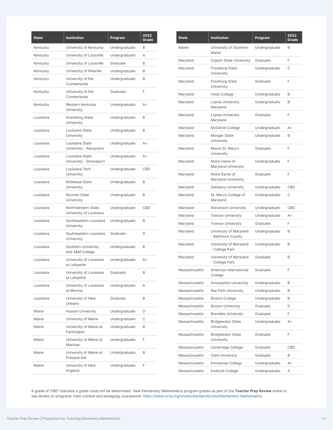| <b>State</b> | <b>Institution</b>                            | Program       | 2022<br>Grade |
|--------------|-----------------------------------------------|---------------|---------------|
| Kentucky     | University of Kentucky                        | Undergraduate | B             |
| Kentucky     | University of Louisville                      | Undergraduate | A             |
| Kentucky     | University of Louisville                      | Graduate      | B             |
| Kentucky     | University of Pikeville                       | Undergraduate | B             |
| Kentucky     | University of the<br>Cumberlands              | Undergraduate | B             |
| Kentucky     | University of the<br>Cumberlands              | Graduate      | F             |
| Kentucky     | Western Kentucky<br>University                | Undergraduate | $A +$         |
| Louisiana    | <b>Grambling State</b><br>University          | Undergraduate | B             |
| Louisiana    | Louisiana State<br>University                 | Undergraduate | B             |
| Louisiana    | Louisiana State<br>University - Alexandria    | Undergraduate | $A +$         |
| Louisiana    | Louisiana State<br>University - Shreveport    | Undergraduate | $A +$         |
| Louisiana    | Louisiana Tech<br>University                  | Undergraduate | CBD           |
| Louisiana    | McNeese State<br>University                   | Undergraduate | B             |
| Louisiana    | <b>Nicholls State</b><br>University           | Undergraduate | B             |
| Louisiana    | Northwestern State<br>University of Louisiana | Undergraduate | CBD           |
| Louisiana    | Southeastern Louisiana<br>University          | Undergraduate | B             |
| Louisiana    | Southeastern Louisiana<br>University          | Graduate      | D             |
| Louisiana    | Southern University<br>and A&M College        | Undergraduate | B             |
| Louisiana    | University of Louisiana<br>at Lafayette       | Undergraduate | $A +$         |
| Louisiana    | University of Louisiana<br>at Lafayette       | Graduate      | B             |
| Louisiana    | University of Louisiana<br>at Monroe          | Undergraduate | Α             |
| Louisiana    | University of New<br>Orleans                  | Graduate      | B             |
| Maine        | Husson University                             | Undergraduate | D             |
| Maine        | University of Maine                           | Undergraduate | С             |
| Maine        | University of Maine at<br>Farmington          | Undergraduate | B             |
| Maine        | University of Maine at<br>Machias             | Undergraduate | F             |
| Maine        | University of Maine at<br>Presque Isle        | Undergraduate | B             |
| Maine        | University of New<br>England                  | Undergraduate | F             |

| <b>State</b>         | <b>Institution</b>                           | Program       | 2022<br>Grade |
|----------------------|----------------------------------------------|---------------|---------------|
| Maine                | University of Southern<br>Maine              | Undergraduate | B             |
| Maryland             | Coppin State University                      | Graduate      | F             |
| Maryland             | <b>Frostburg State</b><br>University         | Undergraduate | С             |
| Maryland             | <b>Frostburg State</b><br>University         | Graduate      | F             |
| Maryland             | <b>Hood College</b>                          | Undergraduate | B             |
| Maryland             | Loyola University<br>Maryland                | Undergraduate | B             |
| Maryland             | Loyola University<br>Maryland                | Graduate      | F             |
| Maryland             | McDaniel College                             | Undergraduate | $A+$          |
| Maryland             | Morgan State<br>University                   | Undergraduate | B             |
| Maryland             | Mount St. Mary's<br>University               | Graduate      | F             |
| Maryland             | Notre Dame of<br>Maryland University         | Undergraduate | F             |
| Maryland             | Notre Dame of<br>Maryland University         | Graduate      | F             |
| Maryland             | <b>Salisbury University</b>                  | Undergraduate | <b>CBD</b>    |
| Maryland             | St. Mary's College of<br>Maryland            | Undergraduate | C             |
| Maryland             | <b>Stevenson University</b>                  | Undergraduate | <b>CBD</b>    |
| Maryland             | <b>Towson University</b>                     | Undergraduate | $A+$          |
| Maryland             | <b>Towson University</b>                     | Graduate      | F             |
| Maryland             | University of Maryland<br>- Baltimore County | Undergraduate | B             |
| Maryland             | University of Maryland<br>- College Park     | Undergraduate | B             |
| Maryland             | University of Maryland<br>- College Park     | Graduate      | B             |
| Massachusetts        | American International<br>College            | Graduate      | F             |
| Massachusetts        | <b>Assumption University</b>                 | Undergraduate | B             |
| Massachusetts        | <b>Bay Path University</b>                   | Undergraduate | B             |
| <b>Massachusetts</b> | <b>Boston College</b>                        | Undergraduate | B             |
| <b>Massachusetts</b> | <b>Boston University</b>                     | Graduate      | D             |
| Massachusetts        | <b>Brandeis University</b>                   | Graduate      | F             |
| Massachusetts        | <b>Bridgewater State</b><br>University       | Undergraduate | $A+$          |
| Massachusetts        | <b>Bridgewater State</b><br>University       | Graduate      | F             |
| Massachusetts        | Cambridge College                            | Graduate      | <b>CBD</b>    |
| <b>Massachusetts</b> | <b>Clark University</b>                      | Graduate      | B             |
| Massachusetts        | <b>Emmanuel College</b>                      | Undergraduate | $A+$          |
| Massachusetts        | <b>Endicott College</b>                      | Undergraduate | Α             |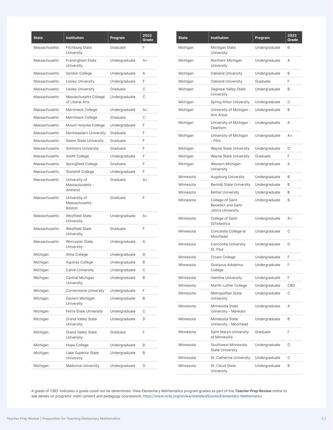| <b>State</b>  | <b>Institution</b>                                | Program       | 2022<br>Grade |
|---------------|---------------------------------------------------|---------------|---------------|
| Massachusetts | <b>Fitchburg State</b><br>University              | Graduate      | F             |
| Massachusetts | Framingham State<br>University                    | Undergraduate | $A +$         |
| Massachusetts | Gordon College                                    | Undergraduate | A             |
| Massachusetts | <b>Lesley University</b>                          | Undergraduate | F             |
| Massachusetts | <b>Lesley University</b>                          | Graduate      | C             |
| Massachusetts | Massachusetts College<br>of Liberal Arts          | Undergraduate | C             |
| Massachusetts | Merrimack College                                 | Undergraduate | A+            |
| Massachusetts | Merrimack College                                 | Graduate      | C             |
| Massachusetts | Mount Holyoke College                             | Undergraduate | F             |
| Massachusetts | Northeastern University                           | Graduate      | F             |
| Massachusetts | <b>Salem State University</b>                     | Graduate      | F             |
| Massachusetts | <b>Simmons University</b>                         | Graduate      | F             |
| Massachusetts | Smith College                                     | Undergraduate | F             |
| Massachusetts | Springfield College                               | Graduate      | F             |
| Massachusetts | Stonehill College                                 | Undergraduate | F             |
| Massachusetts | University of<br>Massachusetts -<br>Amherst       | Graduate      | A+            |
| Massachusetts | University of<br>Massachusetts -<br><b>Boston</b> | Graduate      | F             |
| Massachusetts | <b>Westfield State</b><br>University              | Undergraduate | A+            |
| Massachusetts | <b>Westfield State</b><br>University              | Graduate      | F             |
| Massachusetts | <b>Worcester State</b><br>University              | Undergraduate | Α             |
| Michigan      | Alma College                                      | Undergraduate | D             |
| Michigan      | Aquinas College                                   | Undergraduate | B             |
| Michigan      | <b>Calvin University</b>                          | Undergraduate | C             |
| Michigan      | Central Michigan<br>University                    | Undergraduate | B             |
| Michigan      | <b>Cornerstone University</b>                     | Undergraduate | F             |
| Michigan      | Eastern Michigan<br>University                    | Undergraduate | B             |
| Michigan      | <b>Ferris State University</b>                    | Undergraduate | С             |
| Michigan      | <b>Grand Valley State</b><br>University           | Undergraduate | D             |
| Michigan      | <b>Grand Valley State</b><br>University           | Graduate      | F             |
| Michigan      | Hope College                                      | Undergraduate | B             |
| Michigan      | Lake Superior State<br>University                 | Undergraduate | B             |
| Michigan      | Madonna University                                | Undergraduate | D             |

| <b>State</b> | <b>Institution</b>                                                 | Program       | 2022<br>Grade |
|--------------|--------------------------------------------------------------------|---------------|---------------|
| Michigan     | Michigan State<br>University                                       | Undergraduate | B             |
| Michigan     | Northern Michigan<br>University                                    | Undergraduate | Α             |
| Michigan     | Oakland University                                                 | Undergraduate | B             |
| Michigan     | Oakland University                                                 | Graduate      | F             |
| Michigan     | Saginaw Valley State<br>University                                 | Undergraduate | B             |
| Michigan     | Spring Arbor University                                            | Undergraduate | D             |
| Michigan     | University of Michigan -<br>Ann Arbor                              | Undergraduate | B             |
| Michigan     | University of Michigan -<br>Dearborn                               | Undergraduate | Α             |
| Michigan     | University of Michigan<br>- Flint                                  | Undergraduate | $A+$          |
| Michigan     | <b>Wayne State University</b>                                      | Undergraduate | D             |
| Michigan     | <b>Wayne State University</b>                                      | Graduate      | F             |
| Michigan     | Western Michigan<br>University                                     | Undergraduate | А             |
| Minnesota    | Augsburg University                                                | Undergraduate | B             |
| Minnesota    | Bemidji State University                                           | Undergraduate | B             |
| Minnesota    | <b>Bethel University</b>                                           | Undergraduate | B             |
| Minnesota    | College of Saint<br><b>Benedict and Saint</b><br>John's University | Undergraduate | B             |
| Minnesota    | College of Saint<br>Scholastica                                    | Undergraduate | $A+$          |
| Minnesota    | Concordia College at<br>Moorhead                                   | Undergraduate | C             |
| Minnesota    | Concordia University<br>St. Paul                                   | Undergraduate | D             |
| Minnesota    | Crown College                                                      | Undergraduate | F             |
| Minnesota    | Gustavus Adolphus<br>College                                       | Undergraduate | F             |
| Minnesota    | <b>Hamline University</b>                                          | Undergraduate | F             |
| Minnesota    | Martin Luther College                                              | Undergraduate | <b>CBD</b>    |
| Minnesota    | Metropolitan State<br>University                                   | Undergraduate | C             |
| Minnesota    | Minnesota State<br>University - Mankato                            | Undergraduate | Α             |
| Minnesota    | Minnesota State<br>University - Moorhead                           | Undergraduate | B             |
| Minnesota    | Saint Mary's University<br>of Minnesota                            | Graduate      | F             |
| Minnesota    | Southwest Minnesota<br><b>State University</b>                     | Undergraduate | D             |
| Minnesota    | St. Catherine University                                           | Undergraduate | С             |
| Minnesota    | St. Cloud State<br>University                                      | Undergraduate | B             |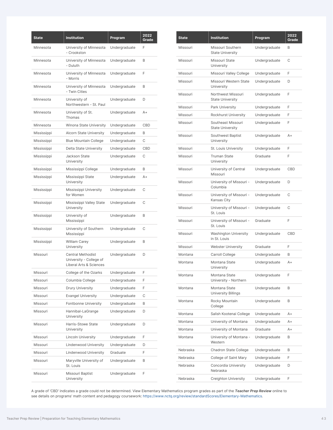| <b>State</b> | <b>Institution</b>                                                             | Program       | 2022<br>Grade |
|--------------|--------------------------------------------------------------------------------|---------------|---------------|
| Minnesota    | University of Minnesota<br>- Crookston                                         | Undergraduate | F             |
| Minnesota    | University of Minnesota<br>- Duluth                                            | Undergraduate | B             |
| Minnesota    | University of Minnesota<br>- Morris                                            | Undergraduate | F             |
| Minnesota    | University of Minnesota<br>- Twin Cities                                       | Undergraduate | B             |
| Minnesota    | University of<br>Northwestern - St. Paul                                       | Undergraduate | D             |
| Minnesota    | University of St.<br>Thomas                                                    | Undergraduate | A+            |
| Minnesota    | Winona State University                                                        | Undergraduate | CBD           |
| Mississippi  | Alcorn State University                                                        | Undergraduate | B             |
| Mississippi  | <b>Blue Mountain College</b>                                                   | Undergraduate | C             |
| Mississippi  | Delta State University                                                         | Undergraduate | CBD           |
| Mississippi  | Jackson State<br>University                                                    | Undergraduate | С             |
| Mississippi  | Mississippi College                                                            | Undergraduate | B             |
| Mississippi  | Mississippi State<br>University                                                | Undergraduate | A+            |
| Mississippi  | Mississippi University<br>for Women                                            | Undergraduate | С             |
| Mississippi  | Mississippi Valley State<br>University                                         | Undergraduate | C             |
| Mississippi  | University of<br>Mississippi                                                   | Undergraduate | B             |
| Mississippi  | University of Southern<br>Mississippi                                          | Undergraduate | C             |
| Mississippi  | <b>William Carey</b><br>University                                             | Undergraduate | B             |
| Missouri     | <b>Central Methodist</b><br>University - College of<br>Liberal Arts & Sciences | Undergraduate | D             |
| Missouri     | College of the Ozarks                                                          | Undergraduate | F             |
| Missouri     | Columbia College                                                               | Undergraduate | F             |
| Missouri     | Drury University                                                               | Undergraduate | F             |
| Missouri     | <b>Evangel University</b>                                                      | Undergraduate | С             |
| Missouri     | Fontbonne University                                                           | Undergraduate | B             |
| Missouri     | Hannibal-LaGrange<br>University                                                | Undergraduate | D             |
| Missouri     | Harris-Stowe State<br>University                                               | Undergraduate | D             |
| Missouri     | <b>Lincoln University</b>                                                      | Undergraduate | F             |
| Missouri     | Lindenwood University                                                          | Undergraduate | D             |
| Missouri     | Lindenwood University                                                          | Graduate      | F             |
| Missouri     | Maryville University of<br>St. Louis                                           | Undergraduate | B             |
| Missouri     | Missouri Baptist<br>University                                                 | Undergraduate | F             |

| <b>State</b> | <b>Institution</b>                            | Program       | 2022<br>Grade |
|--------------|-----------------------------------------------|---------------|---------------|
| Missouri     | Missouri Southern<br><b>State University</b>  | Undergraduate | B             |
| Missouri     | Missouri State<br>University                  | Undergraduate | C             |
| Missouri     | Missouri Valley College                       | Undergraduate | F             |
| Missouri     | Missouri Western State<br>University          | Undergraduate | D             |
| Missouri     | Northwest Missouri<br><b>State University</b> | Undergraduate | F             |
| Missouri     | Park University                               | Undergraduate | F             |
| Missouri     | Rockhurst University                          | Undergraduate | F             |
| Missouri     | Southeast Missouri<br><b>State University</b> | Undergraduate | F             |
| Missouri     | Southwest Baptist<br>University               | Undergraduate | $A+$          |
| Missouri     | St. Louis University                          | Undergraduate | F             |
| Missouri     | <b>Truman State</b><br>University             | Graduate      | F             |
| Missouri     | University of Central<br>Missouri             | Undergraduate | <b>CBD</b>    |
| Missouri     | University of Missouri -<br>Columbia          | Undergraduate | D             |
| Missouri     | University of Missouri -<br>Kansas City       | Undergraduate | C             |
| Missouri     | University of Missouri -<br>St. Louis         | Undergraduate | С             |
| Missouri     | University of Missouri -<br>St. Louis         | Graduate      | F             |
| Missouri     | <b>Washington University</b><br>in St. Louis  | Undergraduate | CBD           |
| Missouri     | <b>Webster University</b>                     | Graduate      | F             |
| Montana      | Carroll College                               | Undergraduate | B             |
| Montana      | Montana State<br>University                   | Undergraduate | $A +$         |
| Montana      | Montana State<br>University - Northern        | Undergraduate | F             |
| Montana      | Montana State<br><b>University Billings</b>   | Undergraduate | B             |
| Montana      | Rocky Mountain<br>College                     | Undergraduate | B             |
| Montana      | Salish Kootenai College                       | Undergraduate | A+            |
| Montana      | University of Montana                         | Undergraduate | A+            |
| Montana      | University of Montana                         | Graduate      | A+            |
| Montana      | University of Montana -<br>Western            | Undergraduate | B             |
| Nebraska     | Chadron State College                         | Undergraduate | B             |
| Nebraska     | College of Saint Mary                         | Undergraduate | F             |
| Nebraska     | Concordia University<br>Nebraska              | Undergraduate | D             |
| Nebraska     | Creighton University                          | Undergraduate | F             |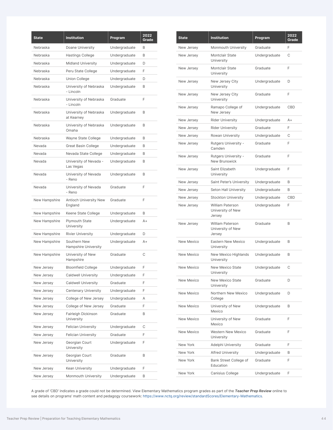| <b>State</b>  | <b>Institution</b>                   | Program       | 2022<br>Grade |
|---------------|--------------------------------------|---------------|---------------|
| Nebraska      | Doane University                     | Undergraduate | B             |
| Nebraska      | <b>Hastings College</b>              | Undergraduate | B             |
| Nebraska      | Midland University                   | Undergraduate | D             |
| Nebraska      | Peru State College                   | Undergraduate | F             |
| Nebraska      | Union College                        | Undergraduate | D             |
| Nebraska      | University of Nebraska<br>- Lincoln  | Undergraduate | B             |
| Nebraska      | University of Nebraska<br>- Lincoln  | Graduate      | F             |
| Nebraska      | University of Nebraska<br>at Kearney | Undergraduate | B             |
| Nebraska      | University of Nebraska<br>Omaha      | Undergraduate | B             |
| Nebraska      | Wayne State College                  | Undergraduate | B             |
| Nevada        | Great Basin College                  | Undergraduate | B             |
| Nevada        | Nevada State College                 | Undergraduate | В             |
| Nevada        | University of Nevada -<br>Las Vegas  | Undergraduate | B             |
| Nevada        | University of Nevada<br>- Reno       | Undergraduate | B             |
| Nevada        | University of Nevada<br>- Reno       | Graduate      | F             |
| New Hampshire | Antioch University New<br>England    | Graduate      | F             |
| New Hampshire | Keene State College                  | Undergraduate | B             |
| New Hampshire | Plymouth State<br>University         | Undergraduate | $A +$         |
| New Hampshire | <b>Rivier University</b>             | Undergraduate | D             |
| New Hampshire | Southern New<br>Hampshire University | Undergraduate | A+            |
| New Hampshire | University of New<br>Hampshire       | Graduate      | С             |
| New Jersey    | <b>Bloomfield College</b>            | Undergraduate | F             |
| New Jersey    | Caldwell University                  | Undergraduate | F             |
| New Jersey    | <b>Caldwell University</b>           | Graduate      | F             |
| New Jersey    | <b>Centenary University</b>          | Undergraduate | F             |
| New Jersey    | College of New Jersey                | Undergraduate | Α             |
| New Jersey    | College of New Jersey                | Graduate      | F             |
| New Jersey    | Fairleigh Dickinson<br>University    | Graduate      | В             |
| New Jersey    | Felician University                  | Undergraduate | С             |
| New Jersey    | Felician University                  | Graduate      | F             |
| New Jersey    | Georgian Court<br>University         | Undergraduate | F             |
| New Jersey    | Georgian Court<br>University         | Graduate      | B             |
| New Jersey    | Kean University                      | Undergraduate | F             |
| New Jersey    | Monmouth University                  | Undergraduate | В             |

| <b>State</b>      | <b>Institution</b>                                     | Program       | 2022<br>Grade |
|-------------------|--------------------------------------------------------|---------------|---------------|
| New Jersey        | <b>Monmouth University</b>                             | Graduate      | F             |
| New Jersey        | <b>Montclair State</b><br>University                   | Undergraduate | С             |
| New Jersey        | Montclair State<br>University                          | Graduate      | F             |
| New Jersey        | New Jersey City<br>University                          | Undergraduate | D             |
| New Jersey        | New Jersey City<br>University                          | Graduate      | F             |
| New Jersey        | Ramapo College of<br>New Jersey                        | Undergraduate | <b>CBD</b>    |
| New Jersey        | <b>Rider University</b>                                | Undergraduate | $A +$         |
| New Jersey        | <b>Rider University</b>                                | Graduate      | F             |
| New Jersey        | Rowan University                                       | Undergraduate | C             |
| New Jersey        | Rutgers University -<br>Camden                         | Graduate      | F             |
| New Jersey        | Rutgers University -<br><b>New Brunswick</b>           | Graduate      | F             |
| New Jersey        | Saint Elizabeth<br>University                          | Undergraduate | F             |
| New Jersey        | Saint Peter's University                               | Undergraduate | B             |
| New Jersey        | Seton Hall University                                  | Undergraduate | B             |
| New Jersey        | <b>Stockton University</b>                             | Undergraduate | CBD           |
| New Jersey        | <b>William Paterson</b><br>University of New<br>Jersey | Undergraduate | F             |
| New Jersey        | <b>William Paterson</b><br>University of New<br>Jersey | Graduate      | B             |
| <b>New Mexico</b> | Eastern New Mexico<br>University                       | Undergraduate | B             |
| New Mexico        | New Mexico Highlands<br>University                     | Undergraduate | B             |
| New Mexico        | <b>New Mexico State</b><br>University                  | Undergraduate | С             |
| New Mexico        | New Mexico State<br>University                         | Graduate      | D             |
| New Mexico        | Northern New Mexico<br>College                         | Undergraduate | D             |
| New Mexico        | University of New<br>Mexico                            | Undergraduate | B             |
| New Mexico        | University of New<br>Mexico                            | Graduate      | F             |
| New Mexico        | <b>Western New Mexico</b><br>University                | Graduate      | F             |
| New York          | Adelphi University                                     | Graduate      | F             |
| New York          | <b>Alfred University</b>                               | Undergraduate | B             |
| New York          | Bank Street College of<br>Education                    | Graduate      | F             |
| New York          | Canisius College                                       | Undergraduate | F             |
|                   |                                                        |               |               |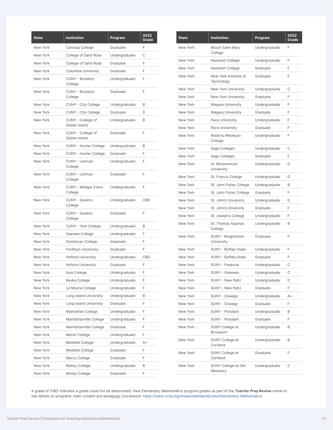| <b>State</b> | <b>Institution</b>                    | Program       | 2022<br>Grade |
|--------------|---------------------------------------|---------------|---------------|
| New York     | Canisius College                      | Graduate      | F             |
| New York     | College of Saint Rose                 | Undergraduate | С             |
| New York     | College of Saint Rose                 | Graduate      | F             |
| New York     | Columbia University                   | Graduate      | F             |
| New York     | CUNY - Brooklyn<br>College            | Undergraduate | F             |
| New York     | CUNY - Brooklyn<br>College            | Graduate      | F             |
| New York     | CUNY - City College                   | Undergraduate | B             |
| New York     | CUNY - City College                   | Graduate      | D             |
| New York     | CUNY - College of<br>Staten Island    | Undergraduate | B             |
| New York     | CUNY - College of<br>Staten Island    | Graduate      | F             |
| New York     | CUNY - Hunter College                 | Undergraduate | B             |
| New York     | CUNY - Hunter College                 | Graduate      | F             |
| New York     | CUNY - Lehman<br>College              | Undergraduate | F             |
| New York     | CUNY - Lehman<br>College              | Graduate      | F             |
| New York     | <b>CUNY - Medgar Evers</b><br>College | Undergraduate | F             |
| New York     | <b>CUNY - Queens</b><br>College       | Undergraduate | CBD           |
| New York     | <b>CUNY - Queens</b><br>College       | Graduate      | F             |
| New York     | CUNY - York College                   | Undergraduate | B             |
| New York     | Daemen College                        | Undergraduate | F             |
| New York     | Dominican College                     | Graduate      | F             |
| New York     | <b>Fordham University</b>             | Graduate      | F             |
| New York     | Hofstra University                    | Undergraduate | CBD           |
| New York     | <b>Hofstra University</b>             | Graduate      | F             |
| New York     | Iona College                          | Undergraduate | F             |
| New York     | Keuka College                         | Undergraduate | F             |
| New York     | Le Moyne College                      | Undergraduate | F             |
| New York     | Long Island University                | Undergraduate | B             |
| New York     | Long Island University                | Graduate      | F             |
| New York     | Manhattan College                     | Undergraduate | F             |
| New York     | Manhattanville College                | Undergraduate | F             |
| New York     | Manhattanville College                | Graduate      | F             |
| New York     | Marist College                        | Undergraduate | F             |
| New York     | Medaille College                      | Undergraduate | A+            |
| New York     | Medaille College                      | Graduate      | F             |
| New York     | Mercy College                         | Graduate      | F             |
| New York     | Molloy College                        | Undergraduate | В             |
| New York     | Molloy College                        | Graduate      | F             |

| <b>State</b> | <b>Institution</b>                  | Program       | 2022<br>Grade |
|--------------|-------------------------------------|---------------|---------------|
| New York     | Mount Saint Mary<br>College         | Undergraduate | F             |
| New York     | Nazareth College                    | Undergraduate | F             |
| New York     | Nazareth College                    | Graduate      | F             |
| New York     | New York Institute of<br>Technology | Graduate      | F             |
| New York     | New York University                 | Undergraduate | С             |
| New York     | New York University                 | Graduate      | F             |
| New York     | Niagara University                  | Undergraduate | F             |
| New York     | Niagara University                  | Graduate      | F             |
| New York     | Pace University                     | Undergraduate | F             |
| New York     | Pace University                     | Graduate      | F             |
| New York     | Roberts Wesleyan<br>College         | Undergraduate | F             |
| New York     | Sage Colleges                       | Undergraduate | С             |
| New York     | Sage Colleges                       | Graduate      | F             |
| New York     | St. Bonaventure<br>University       | Undergraduate | D             |
| New York     | St. Francis College                 | Undergraduate | D             |
| New York     | St. John Fisher College             | Undergraduate | B             |
| New York     | St. John Fisher College             | Graduate      | F             |
| New York     | St. John's University               | Undergraduate | D             |
| New York     | St. John's University               | Graduate      | F             |
| New York     | St. Joseph's College                | Undergraduate | F             |
| New York     | St. Thomas Aquinas<br>College       | Undergraduate | B             |
| New York     | SUNY - Binghamton<br>University     | Graduate      | F             |
| New York     | SUNY - Buffalo State                | Undergraduate | F             |
| New York     | SUNY - Buffalo State                | Graduate      | F             |
| New York     | SUNY - Fredonia                     | Undergraduate | С             |
| New York     | SUNY - Geneseo                      | Undergraduate | C             |
| New York     | SUNY - New Paltz                    | Undergraduate | С             |
| New York     | SUNY - New Paltz                    | Graduate      | F             |
| New York     | SUNY - Oswego                       | Undergraduate | A+            |
| New York     | SUNY - Oswego                       | Graduate      | F             |
| New York     | SUNY - Potsdam                      | Undergraduate | B             |
| New York     | SUNY - Potsdam                      | Graduate      | F             |
| New York     | SUNY College at<br>Brockport        | Undergraduate | B             |
| New York     | SUNY College at<br>Cortland         | Undergraduate | B             |
| New York     | SUNY College at<br>Cortland         | Graduate      | F             |
| New York     | SUNY College at Old<br>Westbury     | Undergraduate | C             |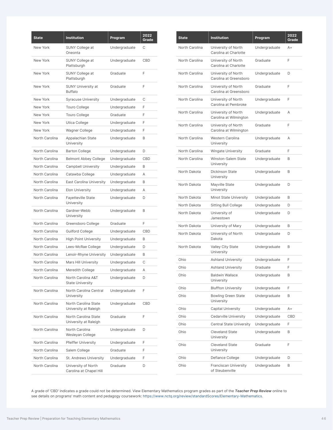| <b>State</b>   | <b>Institution</b>                             | Program       | 2022<br>Grade |
|----------------|------------------------------------------------|---------------|---------------|
| New York       | SUNY College at<br>Oneonta                     | Undergraduate | C             |
| New York       | <b>SUNY College at</b><br>Plattsburgh          | Undergraduate | CBD           |
| New York       | SUNY College at<br>Plattsburgh                 | Graduate      | F             |
| New York       | <b>SUNY University at</b><br><b>Buffalo</b>    | Graduate      | F             |
| New York       | <b>Syracuse University</b>                     | Undergraduate | С             |
| New York       | <b>Touro College</b>                           | Undergraduate | F             |
| New York       | <b>Touro College</b>                           | Graduate      | F             |
| New York       | Utica College                                  | Undergraduate | F             |
| New York       | Wagner College                                 | Undergraduate | F             |
| North Carolina | Appalachian State<br>University                | Undergraduate | B             |
| North Carolina | <b>Barton College</b>                          | Undergraduate | D             |
| North Carolina | <b>Belmont Abbey College</b>                   | Undergraduate | CBD           |
| North Carolina | <b>Campbell University</b>                     | Undergraduate | B             |
| North Carolina | Catawba College                                | Undergraduate | A             |
| North Carolina | <b>East Carolina University</b>                | Undergraduate | B             |
| North Carolina | <b>Elon University</b>                         | Undergraduate | A             |
| North Carolina | <b>Fayetteville State</b><br>University        | Undergraduate | D             |
| North Carolina | Gardner-Webb<br>University                     | Undergraduate | B             |
| North Carolina | Greensboro College                             | Graduate      | F             |
| North Carolina | <b>Guilford College</b>                        | Undergraduate | CBD           |
| North Carolina | <b>High Point University</b>                   | Undergraduate | B             |
| North Carolina | Lees-McRae College                             | Undergraduate | D             |
| North Carolina | Lenoir-Rhyne University                        | Undergraduate | B             |
| North Carolina | <b>Mars Hill University</b>                    | Undergraduate | C             |
| North Carolina | Meredith College                               | Undergraduate | Α             |
| North Carolina | North Carolina A&T<br><b>State University</b>  | Undergraduate | D             |
| North Carolina | North Carolina Central<br>University           | Undergraduate | F             |
| North Carolina | North Carolina State<br>University at Raleigh  | Undergraduate | CBD           |
| North Carolina | North Carolina State<br>University at Raleigh  | Graduate      | F             |
| North Carolina | North Carolina<br>Wesleyan College             | Undergraduate | D             |
| North Carolina | Pfeiffer University                            | Undergraduate | F             |
| North Carolina | Salem College                                  | Graduate      | F             |
| North Carolina | St. Andrews University                         | Undergraduate | F             |
| North Carolina | University of North<br>Carolina at Chapel Hill | Graduate      | D             |

| <b>State</b>   | <b>Institution</b>                              | Program       | 2022<br>Grade |
|----------------|-------------------------------------------------|---------------|---------------|
| North Carolina | University of North<br>Carolina at Charlotte    | Undergraduate | $A+$          |
| North Carolina | University of North<br>Carolina at Charlotte    | Graduate      | F             |
| North Carolina | University of North<br>Carolina at Greensboro   | Undergraduate | D             |
| North Carolina | University of North<br>Carolina at Greensboro   | Graduate      | F             |
| North Carolina | University of North<br>Carolina at Pembroke     | Undergraduate | F             |
| North Carolina | University of North<br>Carolina at Wilmington   | Undergraduate | Α             |
| North Carolina | University of North<br>Carolina at Wilmington   | Graduate      | F             |
| North Carolina | Western Carolina<br>University                  | Undergraduate | Α             |
| North Carolina | <b>Wingate University</b>                       | Graduate      | F             |
| North Carolina | Winston-Salem State<br>University               | Undergraduate | B             |
| North Dakota   | <b>Dickinson State</b><br>University            | Undergraduate | B             |
| North Dakota   | Mayville State<br>University                    | Undergraduate | D             |
| North Dakota   | Minot State University                          | Undergraduate | B             |
| North Dakota   | <b>Sitting Bull College</b>                     | Undergraduate | D             |
| North Dakota   | University of<br>Jamestown                      | Undergraduate | D             |
| North Dakota   | University of Mary                              | Undergraduate | B             |
| North Dakota   | University of North<br>Dakota                   | Undergraduate | D             |
| North Dakota   | Valley City State<br>University                 | Undergraduate | B             |
| Ohio           | <b>Ashland University</b>                       | Undergraduate | F             |
| Ohio           | <b>Ashland University</b>                       | Graduate      | F             |
| Ohio           | <b>Baldwin Wallace</b><br>University            | Undergraduate | B             |
| Ohio           | <b>Bluffton University</b>                      | Undergraduate | F             |
| Ohio           | <b>Bowling Green State</b><br>University        | Undergraduate | B             |
| Ohio           | Capital University                              | Undergraduate | A+            |
| Ohio           | Cedarville University                           | Undergraduate | <b>CBD</b>    |
| Ohio           | <b>Central State University</b>                 | Undergraduate | F             |
| Ohio           | <b>Cleveland State</b><br>University            | Undergraduate | B             |
| Ohio           | <b>Cleveland State</b><br>University            | Graduate      | F             |
| Ohio           | Defiance College                                | Undergraduate | D             |
| Ohio           | <b>Franciscan University</b><br>of Steubenville | Undergraduate | B             |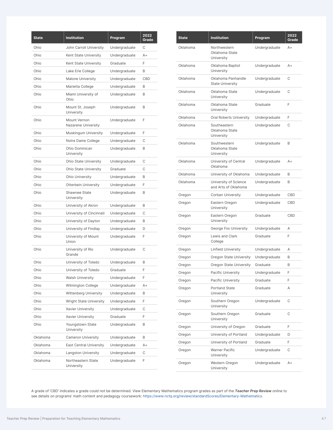| <b>State</b> | <b>Institution</b>                  | Program       | 2022<br>Grade |
|--------------|-------------------------------------|---------------|---------------|
| Ohio         | John Carroll University             | Undergraduate | C             |
| Ohio         | Kent State University               | Undergraduate | $A +$         |
| Ohio         | Kent State University               | Graduate      | F             |
| Ohio         | Lake Erie College                   | Undergraduate | B             |
| Ohio         | <b>Malone University</b>            | Undergraduate | CBD           |
| Ohio         | Marietta College                    | Undergraduate | B             |
| Ohio         | Miami University of<br>Ohio         | Undergraduate | B             |
| Ohio         | Mount St. Joseph<br>University      | Undergraduate | B             |
| Ohio         | Mount Vernon<br>Nazarene University | Undergraduate | F             |
| Ohio         | Muskingum University                | Undergraduate | F             |
| Ohio         | Notre Dame College                  | Undergraduate | C             |
| Ohio         | Ohio Dominican<br>University        | Undergraduate | B             |
| Ohio         | Ohio State University               | Undergraduate | C             |
| Ohio         | Ohio State University               | Graduate      | C             |
| Ohio         | Ohio University                     | Undergraduate | B             |
| Ohio         | <b>Otterbein University</b>         | Undergraduate | F             |
| Ohio         | Shawnee State<br>University         | Undergraduate | B             |
| Ohio         | University of Akron                 | Undergraduate | B             |
| Ohio         | University of Cincinnati            | Undergraduate | C             |
| Ohio         | University of Dayton                | Undergraduate | B             |
| Ohio         | University of Findlay               | Undergraduate | D             |
| Ohio         | University of Mount<br>Union        | Undergraduate | F             |
| Ohio         | University of Rio<br>Grande         | Undergraduate | C             |
| Ohio         | University of Toledo                | Undergraduate | B             |
| Ohio         | University of Toledo                | Graduate      | F             |
| Ohio         | <b>Walsh University</b>             | Undergraduate | F             |
| Ohio         | Wilmington College                  | Undergraduate | $A+$          |
| Ohio         | Wittenberg University               | Undergraduate | B             |
| Ohio         | <b>Wright State University</b>      | Undergraduate | F             |
| Ohio         | <b>Xavier University</b>            | Undergraduate | С             |
| Ohio         | <b>Xavier University</b>            | Graduate      | F             |
| Ohio         | Youngstown State<br>University      | Undergraduate | B             |
| Oklahoma     | <b>Cameron University</b>           | Undergraduate | B             |
| Oklahoma     | <b>East Central University</b>      | Undergraduate | A+            |
| Oklahoma     | <b>Langston University</b>          | Undergraduate | С             |
| Oklahoma     | Northeastern State<br>University    | Undergraduate | F             |

| <b>State</b> | <b>Institution</b>                            | Program       | 2022<br>Grade |
|--------------|-----------------------------------------------|---------------|---------------|
| Oklahoma     | Northwestern<br>Oklahoma State<br>University  | Undergraduate | $A+$          |
| Oklahoma     | Oklahoma Baptist<br>University                | Undergraduate | $A+$          |
| Oklahoma     | Oklahoma Panhandle<br><b>State University</b> | Undergraduate | С             |
| Oklahoma     | Oklahoma State<br>University                  | Undergraduate | C             |
| Oklahoma     | Oklahoma State<br>University                  | Graduate      | F             |
| Oklahoma     | Oral Roberts University                       | Undergraduate | F             |
| Oklahoma     | Southeastern<br>Oklahoma State<br>University  | Undergraduate | С             |
| Oklahoma     | Southwestern<br>Oklahoma State<br>University  | Undergraduate | B             |
| Oklahoma     | University of Central<br>Oklahoma             | Undergraduate | A+            |
| Oklahoma     | University of Oklahoma                        | Undergraduate | B             |
| Oklahoma     | University of Science<br>and Arts of Oklahoma | Undergraduate | B             |
| Oregon       | Corban University                             | Undergraduate | <b>CBD</b>    |
| Oregon       | Eastern Oregon<br>University                  | Undergraduate | <b>CBD</b>    |
| Oregon       | Eastern Oregon<br>University                  | Graduate      | <b>CBD</b>    |
| Oregon       | George Fox University                         | Undergraduate | Α             |
| Oregon       | Lewis and Clark<br>College                    | Graduate      | F             |
| Oregon       | <b>Linfield University</b>                    | Undergraduate | Α             |
| Oregon       | Oregon State University                       | Undergraduate | B             |
| Oregon       | Oregon State University                       | Graduate      | B             |
| Oregon       | Pacific University                            | Undergraduate | F             |
| Oregon       | Pacific University                            | Graduate      | F             |
| Oregon       | <b>Portland State</b><br>University           | Graduate      | Α             |
| Oregon       | Southern Oregon<br>University                 | Undergraduate | С             |
| Oregon       | Southern Oregon<br>University                 | Graduate      | С             |
| Oregon       | University of Oregon                          | Graduate      | F             |
| Oregon       | University of Portland                        | Undergraduate | D             |
| Oregon       | University of Portland                        | Graduate      | F             |
| Oregon       | Warner Pacific<br>University                  | Undergraduate | С             |
| Oregon       | Western Oregon<br>University                  | Undergraduate | A+            |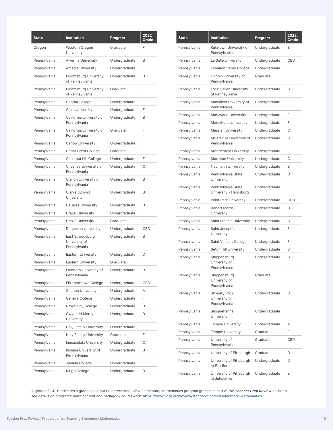| <b>State</b> | <b>Institution</b>                                | Program       | 2022<br>Grade |
|--------------|---------------------------------------------------|---------------|---------------|
| Oregon       | Western Oregon<br>University                      | Graduate      | F             |
| Pennsylvania | Alvernia University                               | Undergraduate | B             |
| Pennsylvania | Arcadia University                                | Undergraduate | C             |
| Pennsylvania | <b>Bloomsburg University</b><br>of Pennsylvania   | Undergraduate | B             |
| Pennsylvania | <b>Bloomsburg University</b><br>of Pennsylvania   | Graduate      | F             |
| Pennsylvania | Cabrini College                                   | Undergraduate | C             |
| Pennsylvania | Cairn University                                  | Undergraduate | F             |
| Pennsylvania | California University of<br>Pennsylvania          | Undergraduate | B             |
| Pennsylvania | California University of<br>Pennsylvania          | Graduate      | F             |
| Pennsylvania | <b>Carlow University</b>                          | Undergraduate | F             |
| Pennsylvania | Cedar Crest College                               | Graduate      | F             |
| Pennsylvania | Chestnut Hill College                             | Undergraduate | F             |
| Pennsylvania | Cheyney University of<br>Pennsylvania             | Undergraduate | C             |
| Pennsylvania | Clarion University of<br>Pennsylvania             | Undergraduate | B             |
| Pennsylvania | Clarks Summit<br>University                       | Undergraduate | B             |
| Pennsylvania | <b>DeSales University</b>                         | Undergraduate | B             |
| Pennsylvania | <b>Drexel University</b>                          | Undergraduate | F             |
| Pennsylvania | <b>Drexel University</b>                          | Graduate      | F             |
| Pennsylvania | <b>Duquesne University</b>                        | Undergraduate | CBD           |
| Pennsylvania | East Stroudsburg<br>University of<br>Pennsylvania | Undergraduate | B             |
| Pennsylvania | <b>Eastern University</b>                         | Undergraduate | D             |
| Pennsylvania | <b>Eastern University</b>                         | Graduate      | F             |
| Pennsylvania | Edinboro University of<br>Pennsylvania            | Undergraduate | B             |
| Pennsylvania | Elizabethtown College                             | Undergraduate | CBD           |
| Pennsylvania | <b>Gannon University</b>                          | Undergraduate | A+            |
| Pennsylvania | Geneva College                                    | Undergraduate | F             |
| Pennsylvania | Grove City College                                | Undergraduate | B             |
| Pennsylvania | Gwynedd Mercy<br>University                       | Undergraduate | B             |
| Pennsylvania | <b>Holy Family University</b>                     | Undergraduate | F             |
| Pennsylvania | <b>Holy Family University</b>                     | Graduate      | F             |
| Pennsylvania | Immaculata University                             | Undergraduate | C             |
| Pennsylvania | Indiana University of<br>Pennsylvania             | Undergraduate | B             |
| Pennsylvania | Juniata College                                   | Undergraduate | F             |
| Pennsylvania | King's College                                    | Undergraduate | B             |

| <b>State</b> | <b>Institution</b>                                    | Program       | 2022<br>Grade |
|--------------|-------------------------------------------------------|---------------|---------------|
| Pennsylvania | Kutztown University of<br>Pennsylvania                | Undergraduate | B             |
| Pennsylvania | La Salle University                                   | Undergraduate | <b>CBD</b>    |
| Pennsylvania | Lebanon Valley College                                | Undergraduate | F             |
| Pennsylvania | Lincoln University of<br>Pennsylvania                 | Graduate      | F             |
| Pennsylvania | Lock Haven University<br>of Pennsylvania              | Undergraduate | B             |
| Pennsylvania | Mansfield University of<br>Pennsylvania               | Undergraduate | F             |
| Pennsylvania | Marywood University                                   | Undergraduate | F             |
| Pennsylvania | Mercyhurst University                                 | Undergraduate | F             |
| Pennsylvania | <b>Messiah University</b>                             | Undergraduate | С             |
| Pennsylvania | Millersville University of<br>Pennsylvania            | Undergraduate | B             |
| Pennsylvania | Misericordia University                               | Undergraduate | F             |
| Pennsylvania | Moravian University                                   | Undergraduate | C             |
| Pennsylvania | Neumann University                                    | Undergraduate | B             |
| Pennsylvania | Pennsylvania State<br>University                      | Undergraduate | D             |
| Pennsylvania | Pennsylvania State<br>University - Harrisburg         | Undergraduate | F             |
| Pennsylvania | Point Park University                                 | Undergraduate | CBD           |
| Pennsylvania | <b>Robert Morris</b><br>University                    | Undergraduate | D             |
| Pennsylvania | Saint Francis University                              | Undergraduate | B             |
| Pennsylvania | Saint Joseph's<br>University                          | Undergraduate | F             |
| Pennsylvania | Saint Vincent College                                 | Undergraduate | F             |
| Pennsylvania | Seton Hill University                                 | Undergraduate | B             |
| Pennsylvania | Shippensburg<br>University of<br>Pennsylvania         | Undergraduate | B             |
| Pennsylvania | Shippensburg<br>University of<br>Pennsylvania         | Graduate      | F             |
| Pennsylvania | <b>Slippery Rock</b><br>University of<br>Pennsylvania | Undergraduate | B             |
| Pennsylvania | Susquehanna<br>University                             | Undergraduate | F             |
| Pennsylvania | <b>Temple University</b>                              | Undergraduate | Α             |
| Pennsylvania | <b>Temple University</b>                              | Graduate      | F             |
| Pennsylvania | University of<br>Pennsylvania                         | Graduate      | CBD           |
| Pennsylvania | University of Pittsburgh                              | Graduate      | D             |
| Pennsylvania | University of Pittsburgh<br>at Bradford               | Undergraduate | D             |
| Pennsylvania | University of Pittsburgh<br>at Johnstown              | Undergraduate | B             |
|              |                                                       |               |               |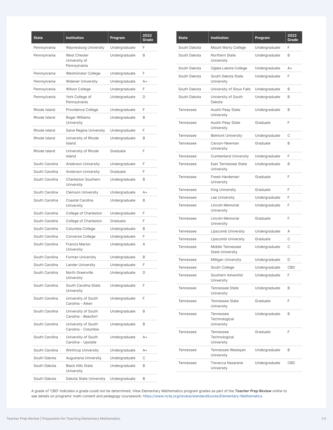| <b>State</b>   | <b>Institution</b>                            | Program       | 2022<br>Grade |
|----------------|-----------------------------------------------|---------------|---------------|
| Pennsylvania   | <b>Waynesburg University</b>                  | Undergraduate | F             |
| Pennsylvania   | West Chester<br>University of<br>Pennsylvania | Undergraduate | B             |
| Pennsylvania   | Westminster College                           | Undergraduate | F             |
| Pennsylvania   | <b>Widener University</b>                     | Undergraduate | A+            |
| Pennsylvania   | Wilson College                                | Undergraduate | F             |
| Pennsylvania   | York College of<br>Pennsylvania               | Undergraduate | D             |
| Rhode Island   | Providence College                            | Undergraduate | F             |
| Rhode Island   | Roger Williams<br>University                  | Undergraduate | B             |
| Rhode Island   | Salve Regina University                       | Undergraduate | F             |
| Rhode Island   | University of Rhode<br>Island                 | Undergraduate | B             |
| Rhode Island   | University of Rhode<br>Island                 | Graduate      | F             |
| South Carolina | Anderson University                           | Undergraduate | F             |
| South Carolina | <b>Anderson University</b>                    | Graduate      | F             |
| South Carolina | <b>Charleston Southern</b><br>University      | Undergraduate | B             |
| South Carolina | <b>Clemson University</b>                     | Undergraduate | $A +$         |
| South Carolina | Coastal Carolina<br>University                | Undergraduate | B             |
| South Carolina | College of Charleston                         | Undergraduate | F             |
| South Carolina | College of Charleston                         | Graduate      | F             |
| South Carolina | Columbia College                              | Undergraduate | B             |
| South Carolina | Converse College                              | Undergraduate | F             |
| South Carolina | Francis Marion<br>University                  | Undergraduate | А             |
| South Carolina | <b>Furman University</b>                      | Undergraduate | B             |
| South Carolina | <b>Lander University</b>                      | Undergraduate | F             |
| South Carolina | North Greenville<br>University                | Undergraduate | D             |
| South Carolina | South Carolina State<br>University            | Undergraduate | F             |
| South Carolina | University of South<br>Carolina - Aiken       | Undergraduate | F             |
| South Carolina | University of South<br>Carolina - Beaufort    | Undergraduate | B             |
| South Carolina | University of South<br>Carolina - Columbia    | Undergraduate | B             |
| South Carolina | University of South<br>Carolina - Upstate     | Undergraduate | A+            |
| South Carolina | <b>Winthrop University</b>                    | Undergraduate | A+            |
| South Dakota   | Augustana University                          | Undergraduate | С             |
| South Dakota   | <b>Black Hills State</b><br>University        | Undergraduate | B             |
| South Dakota   | Dakota State University                       | Undergraduate | B             |

| State            | <b>Institution</b>                          | Program       | 2022<br>Grade |
|------------------|---------------------------------------------|---------------|---------------|
| South Dakota     | Mount Marty College                         | Undergraduate | F             |
| South Dakota     | Northern State<br>University                | Undergraduate | B             |
| South Dakota     | Oglala Lakota College                       | Undergraduate | $A+$          |
| South Dakota     | South Dakota State<br>University            | Undergraduate | F             |
| South Dakota     | University of Sioux Falls                   | Undergraduate | B             |
| South Dakota     | University of South<br>Dakota               | Undergraduate | B             |
| Tennessee        | <b>Austin Peay State</b><br>University      | Undergraduate | B             |
| Tennessee        | <b>Austin Peay State</b><br>University      | Graduate      | F             |
| Tennessee        | <b>Belmont University</b>                   | Undergraduate | С             |
| Tennessee        | Carson-Newman<br>University                 | Graduate      | B             |
| Tennessee        | <b>Cumberland University</b>                | Undergraduate | F             |
| Tennessee        | East Tennessee State<br>University          | Undergraduate | B             |
| Tennessee        | Freed-Hardeman<br>University                | Graduate      | F             |
| Tennessee        | King University                             | Graduate      | F             |
| Tennessee        | Lee University                              | Undergraduate | F             |
| Tennessee        | Lincoln Memorial<br>University              | Undergraduate | F             |
| Tennessee        | Lincoln Memorial<br>University              | Graduate      | F             |
| Tennessee        | <b>Lipscomb University</b>                  | Undergraduate | Α             |
| Tennessee        | <b>Lipscomb University</b>                  | Graduate      | C             |
| Tennessee        | Middle Tennessee<br><b>State University</b> | Undergraduate | С             |
| Tennessee        | Milligan University                         | Undergraduate | D             |
| Tennessee        | South College                               | Undergraduate | CBD           |
| Tennessee        | Southern Adventist<br>University            | Undergraduate | F             |
| Tennessee        | <b>Tennessee State</b><br>University        | Undergraduate | B             |
| Tennessee        | Tennessee State<br>University               | Graduate      | F             |
| Tennessee        | Tennessee<br>Technological<br>University    | Undergraduate | B             |
| Tennessee        | Tennessee<br>Technological<br>University    | Graduate      | F             |
| Tennessee        | Tennessee Wesleyan<br>University            | Undergraduate | B             |
| <b>Tennessee</b> | <b>Trevecca Nazarene</b><br>University      | Undergraduate | CBD           |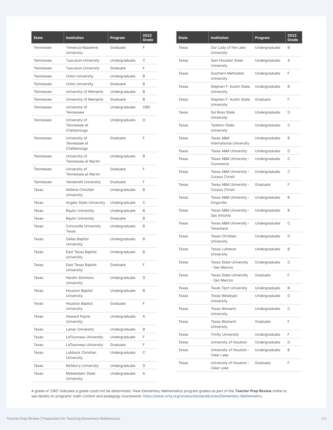| <b>State</b>     | <b>Institution</b>                           | Program       | 2022<br>Grade |
|------------------|----------------------------------------------|---------------|---------------|
| <b>Tennessee</b> | <b>Trevecca Nazarene</b><br>University       | Graduate      | F             |
| Tennessee        | <b>Tusculum University</b>                   | Undergraduate | С             |
| Tennessee        | <b>Tusculum University</b>                   | Graduate      | F             |
| Tennessee        | <b>Union University</b>                      | Undergraduate | B             |
| Tennessee        | <b>Union University</b>                      | Graduate      | B             |
| Tennessee        | University of Memphis                        | Undergraduate | B             |
| Tennessee        | University of Memphis                        | Graduate      | B             |
| Tennessee        | University of<br>Tennessee                   | Undergraduate | CBD           |
| Tennessee        | University of<br>Tennessee at<br>Chattanooga | Undergraduate | D             |
| <b>Tennessee</b> | University of<br>Tennessee at<br>Chattanooga | Graduate      | F             |
| Tennessee        | University of<br>Tennessee at Martin         | Undergraduate | B             |
| Tennessee        | University of<br>Tennessee at Martin         | Graduate      | F             |
| Tennessee        | Vanderbilt University                        | Graduate      | F             |
| Texas            | Abilene Christian<br>University              | Undergraduate | B             |
| Texas            | Angelo State University                      | Undergraduate | C             |
| Texas            | <b>Baylor University</b>                     | Undergraduate | B             |
| Texas            | <b>Baylor University</b>                     | Graduate      | B             |
| Texas            | Concordia University<br>Texas                | Undergraduate | B             |
| Texas            | Dallas Baptist<br>University                 | Undergraduate | B             |
| Texas            | East Texas Baptist<br>University             | Undergraduate | B             |
| Texas            | East Texas Baptist<br>University             | Graduate      | F             |
| Texas            | Hardin-Simmons<br>University                 | Undergraduate | D             |
| Texas            | <b>Houston Baptist</b><br>University         | Undergraduate | B             |
| Texas            | <b>Houston Baptist</b><br>University         | Graduate      | F             |
| Texas            | Howard Payne<br>University                   | Undergraduate | Α             |
| Texas            | Lamar University                             | Undergraduate | B             |
| Texas            | LeTourneau University                        | Undergraduate | F             |
| Texas            | LeTourneau University                        | Graduate      | F             |
| Texas            | Lubbock Christian<br>University              | Undergraduate | С             |
| Texas            | <b>McMurry University</b>                    | Undergraduate | D             |
| Texas            | Midwestern State<br>University               | Undergraduate | Α             |

| <b>State</b> | <b>Institution</b>                            | Program       | 2022<br>Grade |
|--------------|-----------------------------------------------|---------------|---------------|
| Texas        | Our Lady of the Lake<br>University            | Undergraduate | B             |
| Texas        | Sam Houston State<br>University               | Undergraduate | A             |
| Texas        | Southern Methodist<br>University              | Undergraduate | F             |
| Texas        | Stephen F. Austin State<br>University         | Undergraduate | B             |
| Texas        | Stephen F. Austin State<br>University         | Graduate      | F             |
| Texas        | <b>Sul Ross State</b><br>University           | Undergraduate | D             |
| Texas        | <b>Tarleton State</b><br>University           | Undergraduate | C             |
| Texas        | Texas A&M<br><b>International University</b>  | Undergraduate | B             |
| Texas        | Texas A&M University                          | Undergraduate | D             |
| Texas        | Texas A&M University -<br>Commerce            | Undergraduate | C             |
| Texas        | Texas A&M University -<br>Corpus Christi      | Undergraduate | C             |
| Texas        | Texas A&M University -<br>Corpus Christi      | Graduate      | F             |
| Texas        | Texas A&M University -<br>Kingsville          | Undergraduate | B             |
| Texas        | Texas A&M University -<br>San Antonio         | Undergraduate | B             |
| Texas        | Texas A&M University -<br>Texarkana           | Undergraduate | C             |
| Texas        | <b>Texas Christian</b><br>University          | Undergraduate | D             |
| Texas        | <b>Texas Lutheran</b><br>University           | Undergraduate | B             |
| Texas        | <b>Texas State University</b><br>- San Marcos | Undergraduate | C             |
| Texas        | <b>Texas State University</b><br>- San Marcos | Graduate      | F             |
| Texas        | <b>Texas Tech University</b>                  | Undergraduate | B             |
| Texas        | Texas Wesleyan<br>University                  | Undergraduate | D             |
| Texas        | Texas Woman's<br>University                   | Undergraduate | С             |
| Texas        | Texas Woman's<br>University                   | Graduate      | F             |
| Texas        | <b>Trinity University</b>                     | Undergraduate | F             |
| Texas        | University of Houston                         | Undergraduate | D             |
| Texas        | University of Houston -<br>Clear Lake         | Undergraduate | B             |
| Texas        | University of Houston -<br>Clear Lake         | Graduate      | F             |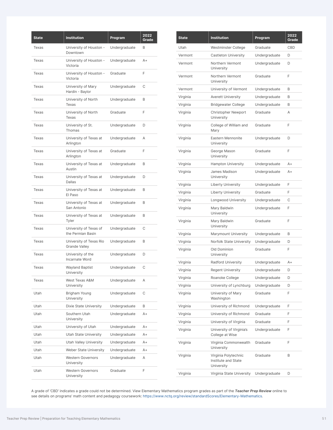| <b>State</b> | <b>Institution</b>                          | Program       | 2022<br>Grade |
|--------------|---------------------------------------------|---------------|---------------|
| Texas        | University of Houston -<br>Downtown         | Undergraduate | B             |
| Texas        | University of Houston -<br>Victoria         | Undergraduate | $A +$         |
| Texas        | University of Houston -<br>Victoria         | Graduate      | F             |
| Texas        | University of Mary<br>Hardin - Baylor       | Undergraduate | С             |
| Texas        | University of North<br>Texas                | Undergraduate | B             |
| Texas        | University of North<br>Texas                | Graduate      | F             |
| Texas        | University of St.<br>Thomas                 | Undergraduate | D             |
| Texas        | University of Texas at<br>Arlington         | Undergraduate | Α             |
| Texas        | University of Texas at<br>Arlington         | Graduate      | F             |
| Texas        | University of Texas at<br>Austin            | Undergraduate | B             |
| Texas        | University of Texas at<br>Dallas            | Undergraduate | D             |
| Texas        | University of Texas at<br>El Paso           | Undergraduate | B             |
| Texas        | University of Texas at<br>San Antonio       | Undergraduate | B             |
| Texas        | University of Texas at<br>Tyler             | Undergraduate | B             |
| Texas        | University of Texas of<br>the Permian Basin | Undergraduate | C             |
| Texas        | University of Texas Rio<br>Grande Valley    | Undergraduate | B             |
| Texas        | University of the<br>Incarnate Word         | Undergraduate | D             |
| Texas        | <b>Wayland Baptist</b><br>University        | Undergraduate | С             |
| Texas        | West Texas A&M<br>University                | Undergraduate | Α             |
| Utah         | Brigham Young<br>University                 | Undergraduate | C             |
| Utah         | Dixie State University                      | Undergraduate | B             |
| Utah         | Southern Utah<br>University                 | Undergraduate | $A+$          |
| Utah         | University of Utah                          | Undergraduate | A+            |
| Utah         | <b>Utah State University</b>                | Undergraduate | A+            |
| Utah         | <b>Utah Valley University</b>               | Undergraduate | $A +$         |
| Utah         | Weber State University                      | Undergraduate | A+            |
| Utah         | <b>Western Governors</b><br>University      | Undergraduate | Α             |
| Utah         | <b>Western Governors</b><br>University      | Graduate      | F             |

| <b>State</b> | <b>Institution</b>                                        | Program       | 2022<br>Grade |
|--------------|-----------------------------------------------------------|---------------|---------------|
| Utah         | Westminster College                                       | Graduate      | CBD           |
| Vermont      | Castleton University                                      | Undergraduate | D             |
| Vermont      | Northern Vermont<br>University                            | Undergraduate | D             |
| Vermont      | Northern Vermont<br>University                            | Graduate      | F             |
| Vermont      | University of Vermont                                     | Undergraduate | B             |
| Virginia     | <b>Averett University</b>                                 | Undergraduate | B             |
| Virginia     | <b>Bridgewater College</b>                                | Undergraduate | B             |
| Virginia     | <b>Christopher Newport</b><br>University                  | Graduate      | Α             |
| Virginia     | College of William and<br>Mary                            | Graduate      | F             |
| Virginia     | Eastern Mennonite<br>University                           | Undergraduate | D             |
| Virginia     | George Mason<br>University                                | Graduate      | F             |
| Virginia     | <b>Hampton University</b>                                 | Undergraduate | $A+$          |
| Virginia     | James Madison<br>University                               | Undergraduate | $A+$          |
| Virginia     | <b>Liberty University</b>                                 | Undergraduate | F             |
| Virginia     | Liberty University                                        | Graduate      | F             |
| Virginia     | Longwood University                                       | Undergraduate | С             |
| Virginia     | Mary Baldwin<br>University                                | Undergraduate | F             |
| Virginia     | Mary Baldwin<br>University                                | Graduate      | F             |
| Virginia     | Marymount University                                      | Undergraduate | B             |
| Virginia     | Norfolk State University                                  | Undergraduate | D             |
| Virginia     | Old Dominion<br>University                                | Graduate      | F             |
| Virginia     | <b>Radford University</b>                                 | Undergraduate | $A+$          |
| Virginia     | <b>Regent University</b>                                  | Undergraduate | D             |
| Virginia     | Roanoke College                                           | Undergraduate | D             |
| Virginia     | University of Lynchburg                                   | Undergraduate | D             |
| Virginia     | University of Mary<br>Washington                          | Graduate      | F             |
| Virginia     | University of Richmond                                    | Undergraduate | F             |
| Virginia     | University of Richmond                                    | Graduate      | F             |
| Virginia     | University of Virginia                                    | Graduate      | F             |
| Virginia     | University of Virginia's<br>College at Wise               | Undergraduate | F             |
| Virginia     | Virginia Commonwealth<br>University                       | Graduate      | F             |
| Virginia     | Virginia Polytechnic<br>Institute and State<br>University | Graduate      | B             |
| Virginia     | Virginia State University                                 | Undergraduate | D             |
|              |                                                           |               |               |